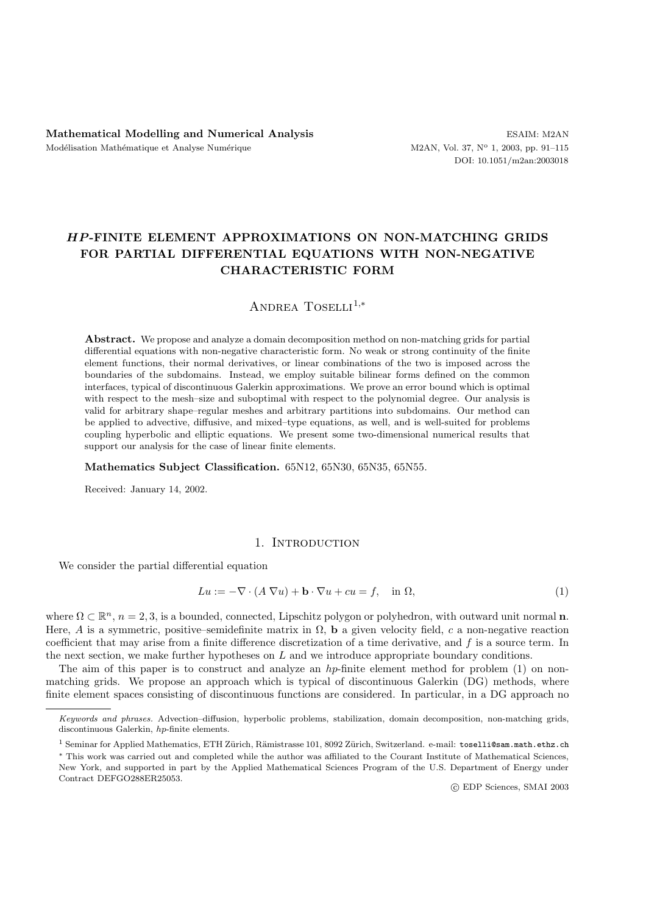# *HP* **-FINITE ELEMENT APPROXIMATIONS ON NON-MATCHING GRIDS FOR PARTIAL DIFFERENTIAL EQUATIONS WITH NON-NEGATIVE CHARACTERISTIC FORM**

Andrea Toselli<sup>1</sup>*,*<sup>∗</sup>

**Abstract.** We propose and analyze a domain decomposition method on non-matching grids for partial differential equations with non-negative characteristic form. No weak or strong continuity of the finite element functions, their normal derivatives, or linear combinations of the two is imposed across the boundaries of the subdomains. Instead, we employ suitable bilinear forms defined on the common interfaces, typical of discontinuous Galerkin approximations. We prove an error bound which is optimal with respect to the mesh–size and suboptimal with respect to the polynomial degree. Our analysis is valid for arbitrary shape–regular meshes and arbitrary partitions into subdomains. Our method can be applied to advective, diffusive, and mixed–type equations, as well, and is well-suited for problems coupling hyperbolic and elliptic equations. We present some two-dimensional numerical results that support our analysis for the case of linear finite elements.

**Mathematics Subject Classification.** 65N12, 65N30, 65N35, 65N55.

Received: January 14, 2002.

## 1. Introduction

We consider the partial differential equation

$$
Lu := -\nabla \cdot (A \nabla u) + \mathbf{b} \cdot \nabla u + cu = f, \quad \text{in } \Omega,
$$
\n<sup>(1)</sup>

where  $\Omega \subset \mathbb{R}^n$ ,  $n = 2, 3$ , is a bounded, connected, Lipschitz polygon or polyhedron, with outward unit normal **n**. Here, A is a symmetric, positive–semidefinite matrix in  $\Omega$ , **b** a given velocity field, c a non-negative reaction coefficient that may arise from a finite difference discretization of a time derivative, and f is a source term. In the next section, we make further hypotheses on L and we introduce appropriate boundary conditions.

The aim of this paper is to construct and analyze an hp-finite element method for problem (1) on nonmatching grids. We propose an approach which is typical of discontinuous Galerkin (DG) methods, where finite element spaces consisting of discontinuous functions are considered. In particular, in a DG approach no

Keywords and phrases. Advection–diffusion, hyperbolic problems, stabilization, domain decomposition, non-matching grids, discontinuous Galerkin, *hp*-finite elements.

<sup>&</sup>lt;sup>1</sup> Seminar for Applied Mathematics, ETH Zürich, Rämistrasse 101, 8092 Zürich, Switzerland. e-mail: toselli@sam.math.ethz.ch

<sup>∗</sup> This work was carried out and completed while the author was affiliated to the Courant Institute of Mathematical Sciences, New York, and supported in part by the Applied Mathematical Sciences Program of the U.S. Department of Energy under Contract DEFGO288ER25053.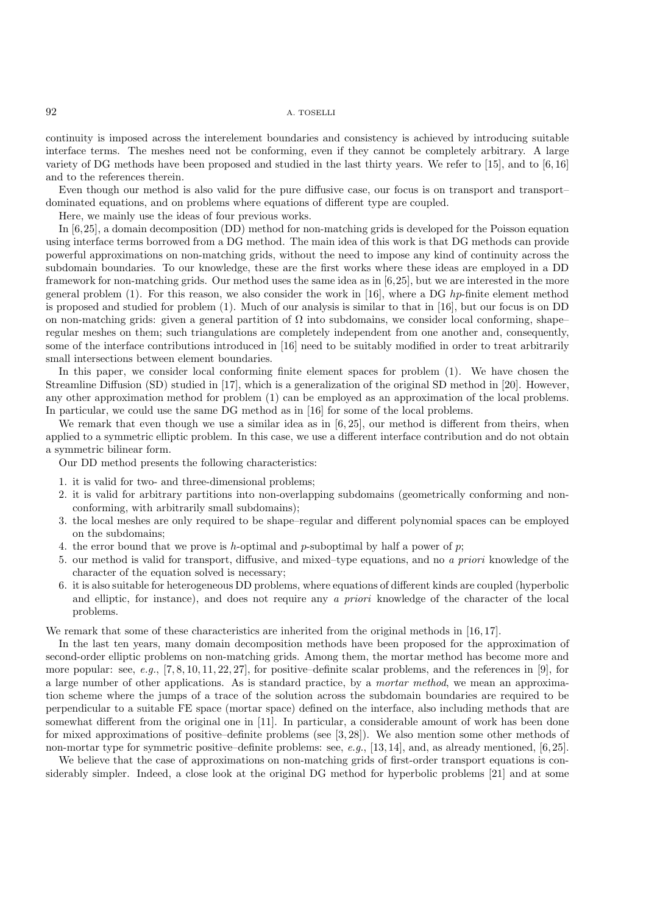continuity is imposed across the interelement boundaries and consistency is achieved by introducing suitable interface terms. The meshes need not be conforming, even if they cannot be completely arbitrary. A large variety of DG methods have been proposed and studied in the last thirty years. We refer to [15], and to [6, 16] and to the references therein.

Even though our method is also valid for the pure diffusive case, our focus is on transport and transport– dominated equations, and on problems where equations of different type are coupled.

Here, we mainly use the ideas of four previous works.

In [6,25], a domain decomposition (DD) method for non-matching grids is developed for the Poisson equation using interface terms borrowed from a DG method. The main idea of this work is that DG methods can provide powerful approximations on non-matching grids, without the need to impose any kind of continuity across the subdomain boundaries. To our knowledge, these are the first works where these ideas are employed in a DD framework for non-matching grids. Our method uses the same idea as in [6,25], but we are interested in the more general problem  $(1)$ . For this reason, we also consider the work in [16], where a DG hp-finite element method is proposed and studied for problem (1). Much of our analysis is similar to that in [16], but our focus is on DD on non-matching grids: given a general partition of  $\Omega$  into subdomains, we consider local conforming, shape– regular meshes on them; such triangulations are completely independent from one another and, consequently, some of the interface contributions introduced in [16] need to be suitably modified in order to treat arbitrarily small intersections between element boundaries.

In this paper, we consider local conforming finite element spaces for problem  $(1)$ . We have chosen the Streamline Diffusion (SD) studied in [17], which is a generalization of the original SD method in [20]. However, any other approximation method for problem (1) can be employed as an approximation of the local problems. In particular, we could use the same DG method as in [16] for some of the local problems.

We remark that even though we use a similar idea as in  $[6, 25]$ , our method is different from theirs, when applied to a symmetric elliptic problem. In this case, we use a different interface contribution and do not obtain a symmetric bilinear form.

Our DD method presents the following characteristics:

- 1. it is valid for two- and three-dimensional problems;
- 2. it is valid for arbitrary partitions into non-overlapping subdomains (geometrically conforming and nonconforming, with arbitrarily small subdomains);
- 3. the local meshes are only required to be shape–regular and different polynomial spaces can be employed on the subdomains;
- 4. the error bound that we prove is h-optimal and p-suboptimal by half a power of p;
- 5. our method is valid for transport, diffusive, and mixed–type equations, and no *a priori* knowledge of the character of the equation solved is necessary;
- 6. it is also suitable for heterogeneous DD problems, where equations of different kinds are coupled (hyperbolic and elliptic, for instance), and does not require any *a priori* knowledge of the character of the local problems.

We remark that some of these characteristics are inherited from the original methods in [16, 17].

In the last ten years, many domain decomposition methods have been proposed for the approximation of second-order elliptic problems on non-matching grids. Among them, the mortar method has become more and more popular: see, *e.g.*, [7, 8, 10, 11, 22, 27], for positive–definite scalar problems, and the references in [9], for a large number of other applications. As is standard practice, by a *mortar method*, we mean an approximation scheme where the jumps of a trace of the solution across the subdomain boundaries are required to be perpendicular to a suitable FE space (mortar space) defined on the interface, also including methods that are somewhat different from the original one in [11]. In particular, a considerable amount of work has been done for mixed approximations of positive–definite problems (see [3, 28]). We also mention some other methods of non-mortar type for symmetric positive–definite problems: see, *e.g.*, [13, 14], and, as already mentioned, [6, 25].

We believe that the case of approximations on non-matching grids of first-order transport equations is considerably simpler. Indeed, a close look at the original DG method for hyperbolic problems [21] and at some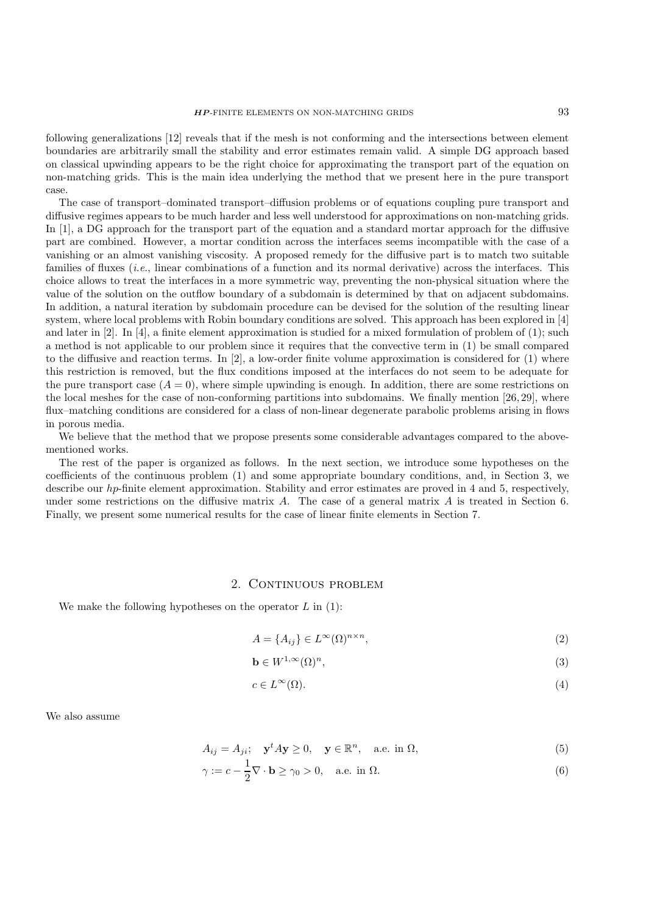following generalizations [12] reveals that if the mesh is not conforming and the intersections between element boundaries are arbitrarily small the stability and error estimates remain valid. A simple DG approach based on classical upwinding appears to be the right choice for approximating the transport part of the equation on non-matching grids. This is the main idea underlying the method that we present here in the pure transport case.

The case of transport–dominated transport–diffusion problems or of equations coupling pure transport and diffusive regimes appears to be much harder and less well understood for approximations on non-matching grids. In [1], a DG approach for the transport part of the equation and a standard mortar approach for the diffusive part are combined. However, a mortar condition across the interfaces seems incompatible with the case of a vanishing or an almost vanishing viscosity. A proposed remedy for the diffusive part is to match two suitable families of fluxes (*i.e.*, linear combinations of a function and its normal derivative) across the interfaces. This choice allows to treat the interfaces in a more symmetric way, preventing the non-physical situation where the value of the solution on the outflow boundary of a subdomain is determined by that on adjacent subdomains. In addition, a natural iteration by subdomain procedure can be devised for the solution of the resulting linear system, where local problems with Robin boundary conditions are solved. This approach has been explored in [4] and later in [2]. In [4], a finite element approximation is studied for a mixed formulation of problem of (1); such a method is not applicable to our problem since it requires that the convective term in (1) be small compared to the diffusive and reaction terms. In [2], a low-order finite volume approximation is considered for (1) where this restriction is removed, but the flux conditions imposed at the interfaces do not seem to be adequate for the pure transport case  $(A = 0)$ , where simple upwinding is enough. In addition, there are some restrictions on the local meshes for the case of non-conforming partitions into subdomains. We finally mention [26, 29], where flux–matching conditions are considered for a class of non-linear degenerate parabolic problems arising in flows in porous media.

We believe that the method that we propose presents some considerable advantages compared to the abovementioned works.

The rest of the paper is organized as follows. In the next section, we introduce some hypotheses on the coefficients of the continuous problem (1) and some appropriate boundary conditions, and, in Section 3, we describe our hp-finite element approximation. Stability and error estimates are proved in 4 and 5, respectively, under some restrictions on the diffusive matrix A. The case of a general matrix A is treated in Section 6. Finally, we present some numerical results for the case of linear finite elements in Section 7.

## 2. CONTINUOUS PROBLEM

We make the following hypotheses on the operator  $L$  in (1):

$$
A = \{A_{ij}\} \in L^{\infty}(\Omega)^{n \times n},\tag{2}
$$

$$
\mathbf{b} \in W^{1,\infty}(\Omega)^n,\tag{3}
$$

$$
c \in L^{\infty}(\Omega). \tag{4}
$$

We also assume

$$
A_{ij} = A_{ji}; \quad \mathbf{y}^t A \mathbf{y} \ge 0, \quad \mathbf{y} \in \mathbb{R}^n, \quad \text{a.e. in } \Omega,
$$
\n
$$
(5)
$$

$$
\gamma := c - \frac{1}{2} \nabla \cdot \mathbf{b} \ge \gamma_0 > 0, \quad \text{a.e. in } \Omega.
$$
 (6)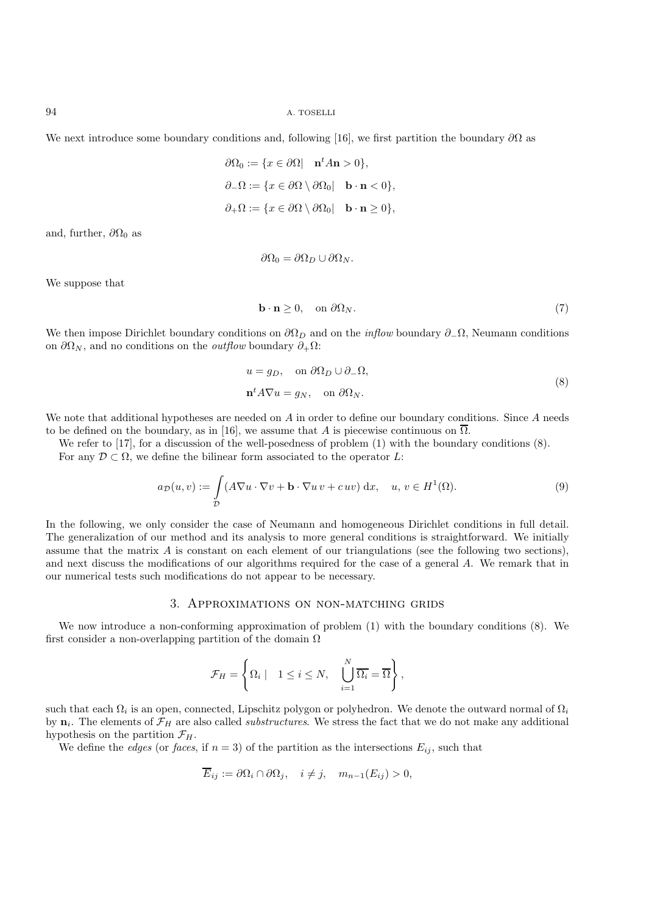We next introduce some boundary conditions and, following [16], we first partition the boundary  $\partial\Omega$  as

$$
\partial\Omega_0 := \{x \in \partial\Omega | \quad \mathbf{n}^t A \mathbf{n} > 0\},\
$$

$$
\partial_-\Omega := \{x \in \partial\Omega \setminus \partial\Omega_0 | \quad \mathbf{b} \cdot \mathbf{n} < 0\},\
$$

$$
\partial_+\Omega := \{x \in \partial\Omega \setminus \partial\Omega_0 | \quad \mathbf{b} \cdot \mathbf{n} \ge 0\},\
$$

and, further,  $\partial\Omega_0$  as

$$
\partial\Omega_0 = \partial\Omega_D \cup \partial\Omega_N.
$$

We suppose that

$$
\mathbf{b} \cdot \mathbf{n} \ge 0, \quad \text{on } \partial \Omega_N. \tag{7}
$$

We then impose Dirichlet boundary conditions on  $\partial\Omega_D$  and on the *inflow* boundary  $\partial_-\Omega$ , Neumann conditions on  $\partial\Omega_N$ , and no conditions on the *outflow* boundary  $\partial_+\Omega$ :

$$
u = g_D, \quad \text{on } \partial \Omega_D \cup \partial_- \Omega,
$$
  

$$
\mathbf{n}^t A \nabla u = g_N, \quad \text{on } \partial \Omega_N.
$$
 (8)

We note that additional hypotheses are needed on A in order to define our boundary conditions. Since A needs to be defined on the boundary, as in [16], we assume that A is piecewise continuous on  $\overline{\Omega}$ .

We refer to [17], for a discussion of the well-posedness of problem (1) with the boundary conditions  $(8)$ .

For any  $\mathcal{D} \subset \Omega$ , we define the bilinear form associated to the operator L:

$$
a_{\mathcal{D}}(u,v) := \int_{\mathcal{D}} (A\nabla u \cdot \nabla v + \mathbf{b} \cdot \nabla u v + c uv) \,dx, \quad u, v \in H^{1}(\Omega). \tag{9}
$$

In the following, we only consider the case of Neumann and homogeneous Dirichlet conditions in full detail. The generalization of our method and its analysis to more general conditions is straightforward. We initially assume that the matrix A is constant on each element of our triangulations (see the following two sections), and next discuss the modifications of our algorithms required for the case of a general A. We remark that in our numerical tests such modifications do not appear to be necessary.

#### 3. Approximations on non-matching grids

We now introduce a non-conforming approximation of problem (1) with the boundary conditions (8). We first consider a non-overlapping partition of the domain  $\Omega$ 

$$
\mathcal{F}_H = \left\{ \Omega_i \mid 1 \leq i \leq N, \quad \bigcup_{i=1}^N \overline{\Omega_i} = \overline{\Omega} \right\},\
$$

such that each  $\Omega_i$  is an open, connected, Lipschitz polygon or polyhedron. We denote the outward normal of  $\Omega_i$ by  $\mathbf{n}_i$ . The elements of  $\mathcal{F}_H$  are also called *substructures*. We stress the fact that we do not make any additional hypothesis on the partition  $\mathcal{F}_H$ .

We define the *edges* (or *faces*, if  $n = 3$ ) of the partition as the intersections  $E_{ij}$ , such that

$$
\overline{E}_{ij} := \partial \Omega_i \cap \partial \Omega_j, \quad i \neq j, \quad m_{n-1}(E_{ij}) > 0,
$$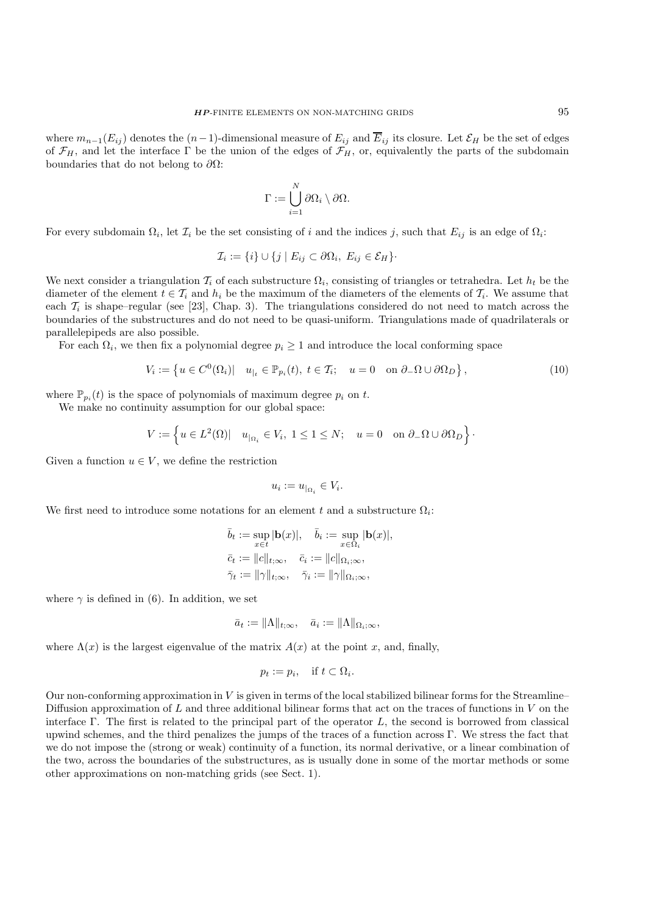where  $m_{n-1}(E_{ij})$  denotes the  $(n-1)$ -dimensional measure of  $E_{ij}$  and  $\overline{E}_{ij}$  its closure. Let  $\mathcal{E}_H$  be the set of edges of  $\mathcal{F}_H$ , and let the interface  $\Gamma$  be the union of the edges of  $\mathcal{F}_H$ , or, equivalently the parts of the subdomain boundaries that do not belong to  $\partial\Omega$ :

$$
\Gamma := \bigcup_{i=1}^N \partial \Omega_i \setminus \partial \Omega.
$$

For every subdomain  $\Omega_i$ , let  $\mathcal{I}_i$  be the set consisting of i and the indices j, such that  $E_{ij}$  is an edge of  $\Omega_i$ :

$$
\mathcal{I}_i := \{i\} \cup \{j \mid E_{ij} \subset \partial \Omega_i, E_{ij} \in \mathcal{E}_H\}.
$$

We next consider a triangulation  $\mathcal{T}_i$  of each substructure  $\Omega_i$ , consisting of triangles or tetrahedra. Let  $h_t$  be the diameter of the element  $t \in \mathcal{T}_i$  and  $h_i$  be the maximum of the diameters of the elements of  $\mathcal{T}_i$ . We assume that each  $\mathcal{T}_i$  is shape–regular (see [23], Chap. 3). The triangulations considered do not need to match across the boundaries of the substructures and do not need to be quasi-uniform. Triangulations made of quadrilaterals or parallelepipeds are also possible.

For each  $\Omega_i$ , we then fix a polynomial degree  $p_i \geq 1$  and introduce the local conforming space

$$
V_i := \left\{ u \in C^0(\Omega_i) | \quad u_{|_t} \in \mathbb{P}_{p_i}(t), \ t \in \mathcal{T}_i; \quad u = 0 \quad \text{on } \partial_- \Omega \cup \partial \Omega_D \right\},\tag{10}
$$

where  $\mathbb{P}_{p_i}(t)$  is the space of polynomials of maximum degree  $p_i$  on t.

We make no continuity assumption for our global space:

$$
V := \left\{ u \in L^2(\Omega) | \quad u_{\mid_{\Omega_i}} \in V_i, \ 1 \le 1 \le N; \quad u = 0 \quad \text{on } \partial_- \Omega \cup \partial \Omega_D \right\}.
$$

Given a function  $u \in V$ , we define the restriction

$$
u_i := u_{|\Omega_i} \in V_i.
$$

We first need to introduce some notations for an element t and a substructure  $\Omega_i$ :

$$
\bar{b}_t := \sup_{x \in t} |\mathbf{b}(x)|, \quad \bar{b}_i := \sup_{x \in \Omega_i} |\mathbf{b}(x)|,
$$
  

$$
\bar{c}_t := ||c||_{t,\infty}, \quad \bar{c}_i := ||c||_{\Omega_i;\infty},
$$
  

$$
\bar{\gamma}_t := ||\gamma||_{t,\infty}, \quad \bar{\gamma}_i := ||\gamma||_{\Omega_i;\infty},
$$

where  $\gamma$  is defined in (6). In addition, we set

$$
\bar{a}_t := \|\Lambda\|_{t,\infty}, \quad \bar{a}_i := \|\Lambda\|_{\Omega_i;\infty},
$$

where  $\Lambda(x)$  is the largest eigenvalue of the matrix  $A(x)$  at the point x, and, finally,

$$
p_t := p_i, \quad \text{if } t \subset \Omega_i.
$$

Our non-conforming approximation in  $V$  is given in terms of the local stabilized bilinear forms for the Streamline– Diffusion approximation of L and three additional bilinear forms that act on the traces of functions in  $V$  on the interface Γ. The first is related to the principal part of the operator L, the second is borrowed from classical upwind schemes, and the third penalizes the jumps of the traces of a function across Γ. We stress the fact that we do not impose the (strong or weak) continuity of a function, its normal derivative, or a linear combination of the two, across the boundaries of the substructures, as is usually done in some of the mortar methods or some other approximations on non-matching grids (see Sect. 1).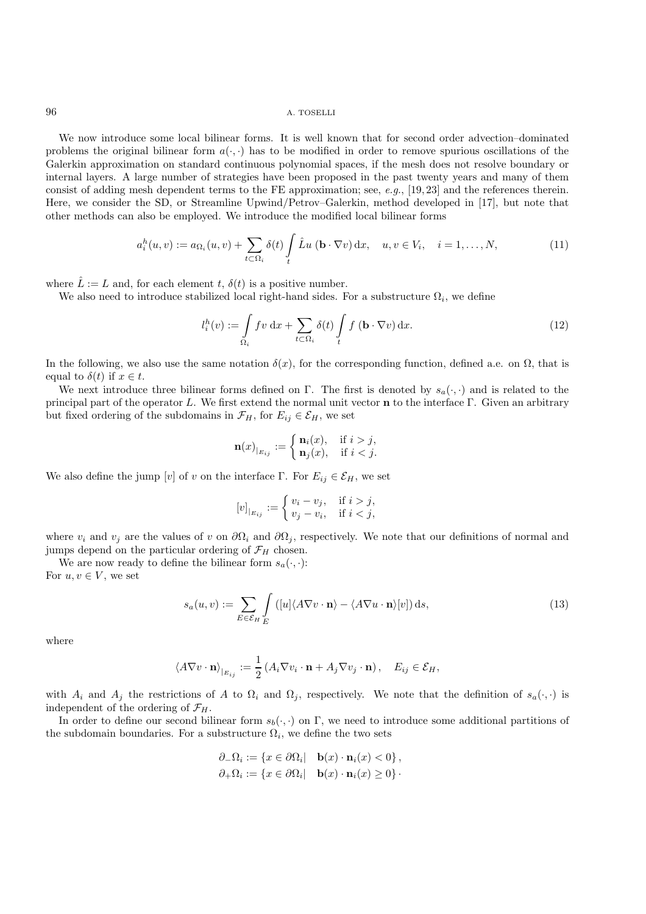We now introduce some local bilinear forms. It is well known that for second order advection–dominated problems the original bilinear form  $a(\cdot, \cdot)$  has to be modified in order to remove spurious oscillations of the Galerkin approximation on standard continuous polynomial spaces, if the mesh does not resolve boundary or internal layers. A large number of strategies have been proposed in the past twenty years and many of them consist of adding mesh dependent terms to the FE approximation; see, *e.g.*, [19, 23] and the references therein. Here, we consider the SD, or Streamline Upwind/Petrov–Galerkin, method developed in [17], but note that other methods can also be employed. We introduce the modified local bilinear forms

$$
a_i^h(u,v) := a_{\Omega_i}(u,v) + \sum_{t \subset \Omega_i} \delta(t) \int_t \hat{L}u \left(\mathbf{b} \cdot \nabla v\right) \mathrm{d}x, \quad u, v \in V_i, \quad i = 1, \dots, N,
$$
\n
$$
(11)
$$

where  $\hat{L} := L$  and, for each element t,  $\delta(t)$  is a positive number.

We also need to introduce stabilized local right-hand sides. For a substructure  $\Omega_i$ , we define

$$
l_i^h(v) := \int_{\Omega_i} f v \, dx + \sum_{t \subset \Omega_i} \delta(t) \int_t f(\mathbf{b} \cdot \nabla v) \, dx.
$$
 (12)

In the following, we also use the same notation  $\delta(x)$ , for the corresponding function, defined a.e. on  $\Omega$ , that is equal to  $\delta(t)$  if  $x \in t$ .

We next introduce three bilinear forms defined on Γ. The first is denoted by  $s_a(\cdot, \cdot)$  and is related to the principal part of the operator L. We first extend the normal unit vector **n** to the interface Γ. Given an arbitrary but fixed ordering of the subdomains in  $\mathcal{F}_H$ , for  $E_{ij} \in \mathcal{E}_H$ , we set

$$
\mathbf{n}(x)_{|_{E_{ij}}} := \begin{cases} \mathbf{n}_i(x), & \text{if } i > j, \\ \mathbf{n}_j(x), & \text{if } i < j. \end{cases}
$$

We also define the jump [v] of v on the interface Γ. For  $E_{ij} \in \mathcal{E}_H$ , we set

$$
[v]_{|_{E_{ij}}} := \begin{cases} v_i - v_j, & \text{if } i > j, \\ v_j - v_i, & \text{if } i < j, \end{cases}
$$

where  $v_i$  and  $v_j$  are the values of v on  $\partial\Omega_i$  and  $\partial\Omega_j$ , respectively. We note that our definitions of normal and jumps depend on the particular ordering of  $\mathcal{F}_H$  chosen.

We are now ready to define the bilinear form  $s_a(\cdot, \cdot)$ :

For  $u, v \in V$ , we set

$$
s_a(u,v) := \sum_{E \in \mathcal{E}_H} \int_{E} \left( [u] \langle A \nabla v \cdot \mathbf{n} \rangle - \langle A \nabla u \cdot \mathbf{n} \rangle[v] \right) ds,
$$
\n(13)

where

$$
\langle A\nabla v \cdot \mathbf{n} \rangle_{|_{E_{ij}}} := \frac{1}{2} \left( A_i \nabla v_i \cdot \mathbf{n} + A_j \nabla v_j \cdot \mathbf{n} \right), \quad E_{ij} \in \mathcal{E}_H,
$$

with  $A_i$  and  $A_j$  the restrictions of A to  $\Omega_i$  and  $\Omega_j$ , respectively. We note that the definition of  $s_a(\cdot, \cdot)$  is independent of the ordering of  $\mathcal{F}_H$ .

In order to define our second bilinear form  $s_b(\cdot, \cdot)$  on Γ, we need to introduce some additional partitions of the subdomain boundaries. For a substructure  $\Omega_i$ , we define the two sets

$$
\partial_{-}\Omega_{i} := \{x \in \partial\Omega_{i} | \quad \mathbf{b}(x) \cdot \mathbf{n}_{i}(x) < 0\},
$$
\n
$$
\partial_{+}\Omega_{i} := \{x \in \partial\Omega_{i} | \quad \mathbf{b}(x) \cdot \mathbf{n}_{i}(x) \ge 0\}.
$$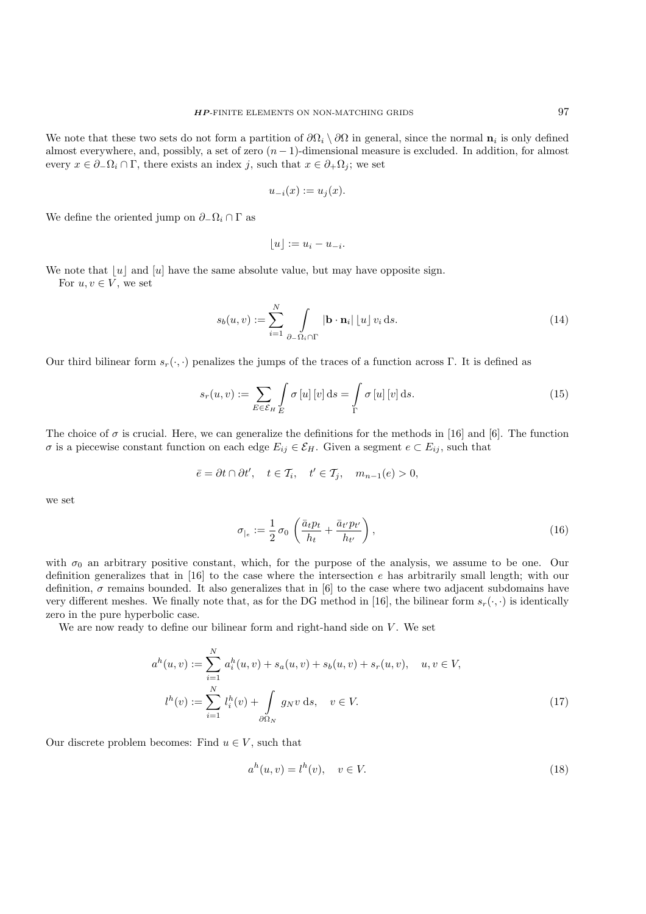We note that these two sets do not form a partition of  $\partial\Omega_i \setminus \partial\Omega$  in general, since the normal  $\mathbf{n}_i$  is only defined almost everywhere, and, possibly, a set of zero  $(n-1)$ -dimensional measure is excluded. In addition, for almost every  $x \in \partial_-\Omega_i \cap \Gamma$ , there exists an index j, such that  $x \in \partial_+\Omega_i$ ; we set

$$
u_{-i}(x) := u_j(x).
$$

We define the oriented jump on  $\partial_-\Omega_i \cap \Gamma$  as

$$
\lfloor u \rfloor := u_i - u_{-i}.
$$

We note that  $|u|$  and  $|u|$  have the same absolute value, but may have opposite sign. For  $u, v \in V$ , we set

$$
s_b(u,v) := \sum_{i=1}^{N} \int \limits_{\partial_{-}\Omega_i \cap \Gamma} |\mathbf{b} \cdot \mathbf{n}_i| \left\lfloor u \right\rfloor v_i \, ds. \tag{14}
$$

Our third bilinear form  $s_r(\cdot, \cdot)$  penalizes the jumps of the traces of a function across Γ. It is defined as

$$
s_r(u,v) := \sum_{E \in \mathcal{E}_H} \int_{E} \sigma[u] \,[v] \,\mathrm{d}s = \int_{\Gamma} \sigma[u] \,[v] \,\mathrm{d}s. \tag{15}
$$

The choice of  $\sigma$  is crucial. Here, we can generalize the definitions for the methods in [16] and [6]. The function  $\sigma$  is a piecewise constant function on each edge  $E_{ij} \in \mathcal{E}_H$ . Given a segment  $e \subset E_{ij}$ , such that

$$
\bar{e} = \partial t \cap \partial t', \quad t \in \mathcal{T}_i, \quad t' \in \mathcal{T}_j, \quad m_{n-1}(e) > 0,
$$

we set

$$
\sigma_{|e} := \frac{1}{2} \sigma_0 \left( \frac{\bar{a}_t p_t}{h_t} + \frac{\bar{a}_{t'} p_{t'}}{h_{t'}} \right),\tag{16}
$$

with  $\sigma_0$  an arbitrary positive constant, which, for the purpose of the analysis, we assume to be one. Our definition generalizes that in [16] to the case where the intersection e has arbitrarily small length; with our definition,  $\sigma$  remains bounded. It also generalizes that in [6] to the case where two adjacent subdomains have very different meshes. We finally note that, as for the DG method in [16], the bilinear form  $s_r(\cdot, \cdot)$  is identically zero in the pure hyperbolic case.

We are now ready to define our bilinear form and right-hand side on  $V$ . We set

$$
a^{h}(u, v) := \sum_{i=1}^{N} a_{i}^{h}(u, v) + s_{a}(u, v) + s_{b}(u, v) + s_{r}(u, v), \quad u, v \in V,
$$
  

$$
l^{h}(v) := \sum_{i=1}^{N} l_{i}^{h}(v) + \int_{\partial \Omega_{N}} g_{N}v \, ds, \quad v \in V.
$$
 (17)

Our discrete problem becomes: Find  $u \in V$ , such that

$$
ah(u, v) = lh(v), \quad v \in V.
$$
\n
$$
(18)
$$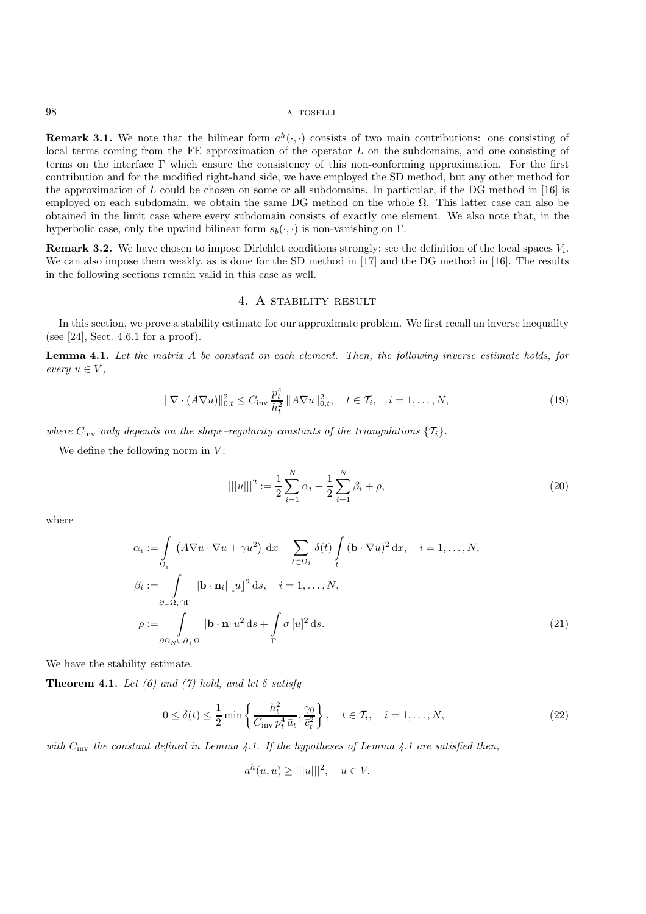**Remark 3.1.** We note that the bilinear form  $a^h(\cdot, \cdot)$  consists of two main contributions: one consisting of local terms coming from the FE approximation of the operator  $L$  on the subdomains, and one consisting of terms on the interface Γ which ensure the consistency of this non-conforming approximation. For the first contribution and for the modified right-hand side, we have employed the SD method, but any other method for the approximation of L could be chosen on some or all subdomains. In particular, if the DG method in [16] is employed on each subdomain, we obtain the same DG method on the whole  $\Omega$ . This latter case can also be obtained in the limit case where every subdomain consists of exactly one element. We also note that, in the hyperbolic case, only the upwind bilinear form  $s_b(\cdot, \cdot)$  is non-vanishing on Γ.

**Remark 3.2.** We have chosen to impose Dirichlet conditions strongly; see the definition of the local spaces  $V_i$ . We can also impose them weakly, as is done for the SD method in [17] and the DG method in [16]. The results in the following sections remain valid in this case as well.

## 4. A stability result

In this section, we prove a stability estimate for our approximate problem. We first recall an inverse inequality (see [24], Sect. 4.6.1 for a proof).

**Lemma 4.1.** *Let the matrix* A *be constant on each element. Then, the following inverse estimate holds, for every*  $u \in V$ ,

$$
\|\nabla \cdot (A\nabla u)\|_{0;t}^2 \le C_{\text{inv}} \frac{p_t^4}{h_t^2} \|A\nabla u\|_{0;t}^2, \quad t \in \mathcal{T}_i, \quad i = 1, \dots, N,
$$
\n(19)

*where*  $C_{\text{inv}}$  *only depends on the shape–regularity constants of the triangulations*  $\{T_i\}$ *.* 

We define the following norm in  $V$ :

$$
|||u|||^2 := \frac{1}{2} \sum_{i=1}^{N} \alpha_i + \frac{1}{2} \sum_{i=1}^{N} \beta_i + \rho,
$$
\n(20)

where

$$
\alpha_{i} := \int_{\Omega_{i}} (A \nabla u \cdot \nabla u + \gamma u^{2}) dx + \sum_{t \subset \Omega_{i}} \delta(t) \int_{t} (\mathbf{b} \cdot \nabla u)^{2} dx, \quad i = 1, ..., N,
$$
  

$$
\beta_{i} := \int_{\partial_{-} \Omega_{i} \cap \Gamma} |\mathbf{b} \cdot \mathbf{n}_{i}| |u|^{2} ds, \quad i = 1, ..., N,
$$
  

$$
\rho := \int_{\partial \Omega_{N} \cup \partial_{+} \Omega} |\mathbf{b} \cdot \mathbf{n}| u^{2} ds + \int_{\Gamma} \sigma [u]^{2} ds.
$$
 (21)

We have the stability estimate.

**Theorem 4.1.** *Let* (6) and (7) hold, and let  $\delta$  satisfy

$$
0 \le \delta(t) \le \frac{1}{2} \min \left\{ \frac{h_t^2}{C_{\text{inv}} p_t^4 \bar{a}_t}, \frac{\gamma_0}{\bar{c}_t^2} \right\}, \quad t \in \mathcal{T}_i, \quad i = 1, \dots, N,
$$
\n
$$
(22)
$$

*with* Cinv *the constant defined in Lemma 4.1. If the hypotheses of Lemma 4.1 are satisfied then,*

$$
a^h(u, u) \ge |||u|||^2, \quad u \in V.
$$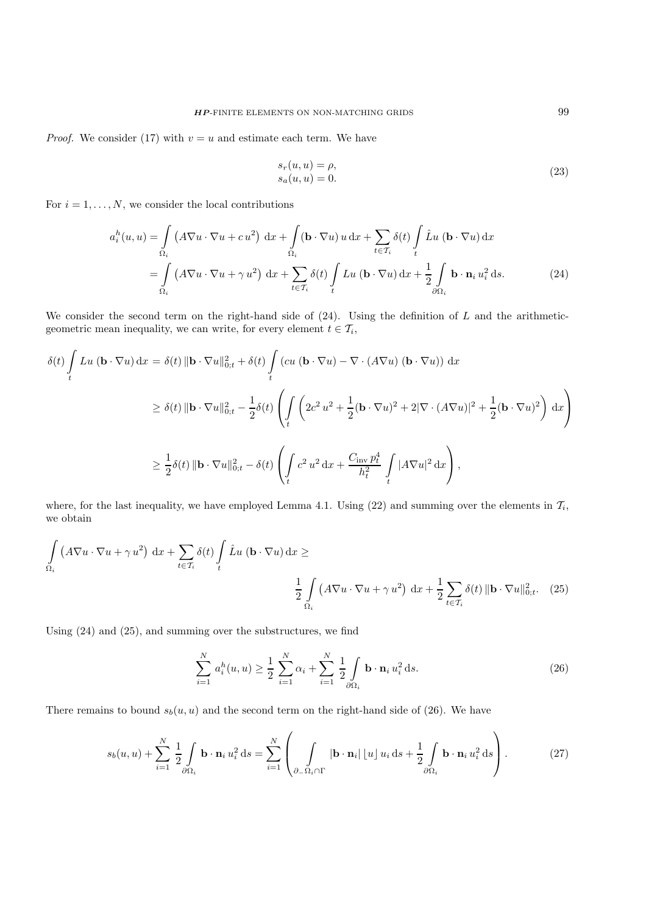*Proof.* We consider (17) with  $v = u$  and estimate each term. We have

$$
s_r(u, u) = \rho,
$$
  
\n
$$
s_a(u, u) = 0.
$$
\n(23)

For  $i = 1, \ldots, N$ , we consider the local contributions

$$
a_i^h(u, u) = \int_{\Omega_i} \left( A \nabla u \cdot \nabla u + c u^2 \right) dx + \int_{\Omega_i} (\mathbf{b} \cdot \nabla u) u dx + \sum_{t \in \mathcal{T}_i} \delta(t) \int_t \hat{L} u (\mathbf{b} \cdot \nabla u) dx
$$
  
= 
$$
\int_{\Omega_i} \left( A \nabla u \cdot \nabla u + \gamma u^2 \right) dx + \sum_{t \in \mathcal{T}_i} \delta(t) \int_t L u (\mathbf{b} \cdot \nabla u) dx + \frac{1}{2} \int_{\partial \Omega_i} \mathbf{b} \cdot \mathbf{n}_i u_i^2 ds.
$$
 (24)

We consider the second term on the right-hand side of  $(24)$ . Using the definition of L and the arithmeticgeometric mean inequality, we can write, for every element  $t \in \mathcal{T}_i$ ,

$$
\delta(t) \int_{t} Lu (\mathbf{b} \cdot \nabla u) dx = \delta(t) \|\mathbf{b} \cdot \nabla u\|_{0;t}^{2} + \delta(t) \int_{t} (cu (\mathbf{b} \cdot \nabla u) - \nabla \cdot (A\nabla u) (\mathbf{b} \cdot \nabla u)) dx
$$
  
\n
$$
\geq \delta(t) \|\mathbf{b} \cdot \nabla u\|_{0;t}^{2} - \frac{1}{2}\delta(t) \left( \int_{t} \left( 2c^{2} u^{2} + \frac{1}{2} (\mathbf{b} \cdot \nabla u)^{2} + 2|\nabla \cdot (A\nabla u)|^{2} + \frac{1}{2} (\mathbf{b} \cdot \nabla u)^{2} \right) dx \right)
$$
  
\n
$$
\geq \frac{1}{2}\delta(t) \|\mathbf{b} \cdot \nabla u\|_{0;t}^{2} - \delta(t) \left( \int_{t} c^{2} u^{2} dx + \frac{C_{\text{inv}} p_{t}^{4}}{h_{t}^{2}} \int_{t} |A\nabla u|^{2} dx \right),
$$

where, for the last inequality, we have employed Lemma 4.1. Using (22) and summing over the elements in  $\mathcal{T}_i$ , we obtain

$$
\int_{\Omega_i} \left( A \nabla u \cdot \nabla u + \gamma u^2 \right) dx + \sum_{t \in \mathcal{T}_i} \delta(t) \int_t \hat{L} u \left( \mathbf{b} \cdot \nabla u \right) dx \ge
$$
\n
$$
\frac{1}{2} \int_{\Omega_i} \left( A \nabla u \cdot \nabla u + \gamma u^2 \right) dx + \frac{1}{2} \sum_{t \in \mathcal{T}_i} \delta(t) \|\mathbf{b} \cdot \nabla u\|_{0; t}^2. \tag{25}
$$

Using (24) and (25), and summing over the substructures, we find

$$
\sum_{i=1}^{N} a_i^h(u, u) \ge \frac{1}{2} \sum_{i=1}^{N} \alpha_i + \sum_{i=1}^{N} \frac{1}{2} \int_{\partial \Omega_i} \mathbf{b} \cdot \mathbf{n}_i u_i^2 ds.
$$
 (26)

There remains to bound  $s_b(u, u)$  and the second term on the right-hand side of (26). We have

$$
s_b(u, u) + \sum_{i=1}^N \frac{1}{2} \int\limits_{\partial \Omega_i} \mathbf{b} \cdot \mathbf{n}_i u_i^2 ds = \sum_{i=1}^N \left( \int\limits_{\partial_- \Omega_i \cap \Gamma} |\mathbf{b} \cdot \mathbf{n}_i| \left[ u \right] u_i ds + \frac{1}{2} \int\limits_{\partial \Omega_i} \mathbf{b} \cdot \mathbf{n}_i u_i^2 ds \right).
$$
 (27)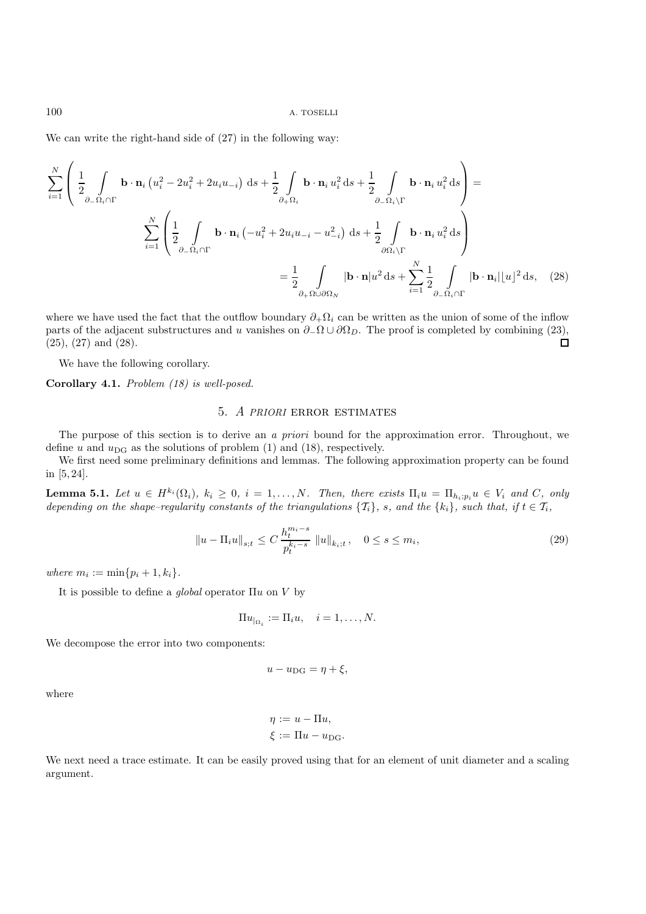We can write the right-hand side of  $(27)$  in the following way:

$$
\sum_{i=1}^{N} \left( \frac{1}{2} \int_{\partial_{-}\Omega_{i} \cap \Gamma} \mathbf{b} \cdot \mathbf{n}_{i} \left( u_{i}^{2} - 2u_{i}^{2} + 2u_{i}u_{-i} \right) \, \mathrm{d}s + \frac{1}{2} \int_{\partial_{+}\Omega_{i}} \mathbf{b} \cdot \mathbf{n}_{i} u_{i}^{2} \, \mathrm{d}s + \frac{1}{2} \int_{\partial_{-}\Omega_{i} \backslash \Gamma} \mathbf{b} \cdot \mathbf{n}_{i} u_{i}^{2} \, \mathrm{d}s \right) =
$$
\n
$$
\sum_{i=1}^{N} \left( \frac{1}{2} \int_{\partial_{-}\Omega_{i} \cap \Gamma} \mathbf{b} \cdot \mathbf{n}_{i} \left( -u_{i}^{2} + 2u_{i}u_{-i} - u_{-i}^{2} \right) \, \mathrm{d}s + \frac{1}{2} \int_{\partial\Omega_{i} \backslash \Gamma} \mathbf{b} \cdot \mathbf{n}_{i} u_{i}^{2} \, \mathrm{d}s \right)
$$
\n
$$
= \frac{1}{2} \int_{\partial_{+}\Omega \cup \partial\Omega_{N}} |\mathbf{b} \cdot \mathbf{n}| u^{2} \, \mathrm{d}s + \sum_{i=1}^{N} \frac{1}{2} \int_{\partial_{-}\Omega_{i} \cap \Gamma} |\mathbf{b} \cdot \mathbf{n}_{i}| |u|^{2} \, \mathrm{d}s, \quad (28)
$$

where we have used the fact that the outflow boundary  $\partial_+\Omega_i$  can be written as the union of some of the inflow parts of the adjacent substructures and u vanishes on  $\partial$ - $\Omega$  ∪  $\partial\Omega_D$ . The proof is completed by combining (23), (25), (27) and (28). (25), (27) and (28).

We have the following corollary.

**Corollary 4.1.** *Problem (18) is well-posed.*

## 5. *A PRIORI* error estimates

The purpose of this section is to derive an *a priori* bound for the approximation error. Throughout, we define u and  $u_{\text{DG}}$  as the solutions of problem (1) and (18), respectively.

We first need some preliminary definitions and lemmas. The following approximation property can be found in [5, 24].

**Lemma 5.1.** *Let*  $u \in H^{k_i}(\Omega_i)$ *,*  $k_i \geq 0$ *,*  $i = 1, ..., N$ *. Then, there exists*  $\Pi_i u = \Pi_{h_i; p_i} u \in V_i$  *and*  $C$ *, only depending on the shape–regularity constants of the triangulations*  $\{T_i\}$ *, s, and the*  $\{k_i\}$ *, such that, if*  $t \in T_i$ *,* 

$$
||u - \Pi_i u||_{s;t} \le C \frac{h_t^{m_i - s}}{p_t^{k_i - s}} ||u||_{k_i;t}, \quad 0 \le s \le m_i,
$$
\n(29)

*where*  $m_i := \min\{p_i + 1, k_i\}.$ 

It is possible to define a *global* operator Πu on V by

$$
\Pi u_{|\Omega_i} := \Pi_i u, \quad i = 1, \dots, N.
$$

We decompose the error into two components:

$$
u - u_{\text{DG}} = \eta + \xi,
$$

where

$$
\eta := u - \Pi u,
$$
  

$$
\xi := \Pi u - u_{\text{DG}}.
$$

We next need a trace estimate. It can be easily proved using that for an element of unit diameter and a scaling argument.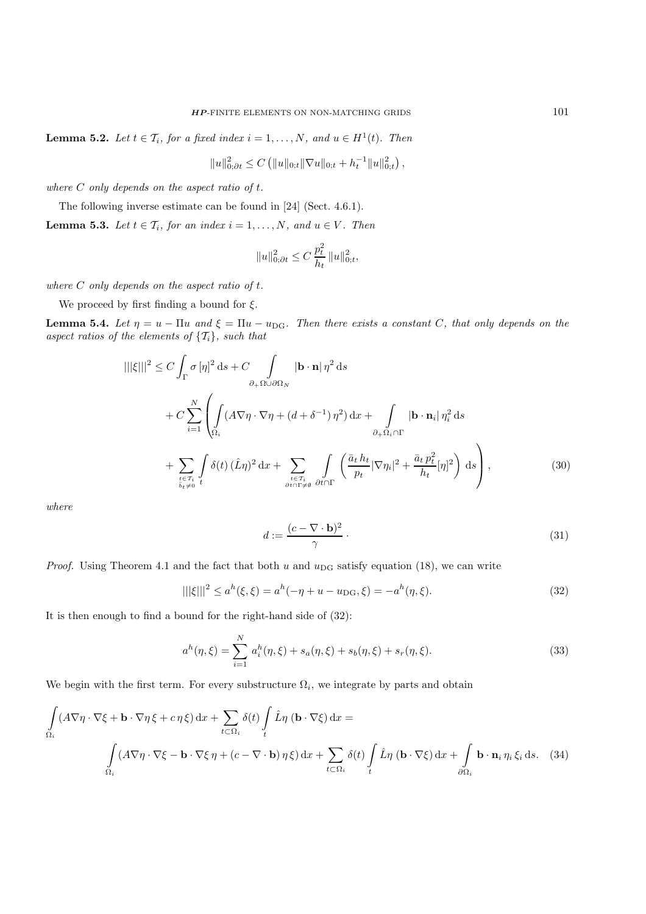**Lemma 5.2.** *Let*  $t \in \mathcal{T}_i$ *, for a fixed index*  $i = 1, \ldots, N$ *, and*  $u \in H^1(t)$ *. Then* 

$$
||u||_{0;\partial t}^2 \leq C (||u||_{0;t} ||\nabla u||_{0;t} + h_t^{-1} ||u||_{0;t}^2),
$$

*where* C *only depends on the aspect ratio of* t*.*

The following inverse estimate can be found in [24] (Sect. 4.6.1).

**Lemma 5.3.** *Let*  $t \in \mathcal{T}_i$ *, for an index*  $i = 1, \ldots, N$ *, and*  $u \in V$ *. Then* 

$$
\|u\|_{0;\partial t}^2 \leq C\,\frac{p_t^2}{h_t}\,\|u\|_{0;t}^2,
$$

*where* C *only depends on the aspect ratio of* t*.*

We proceed by first finding a bound for  $\xi$ .

**Lemma 5.4.** *Let*  $\eta = u - \Pi u$  *and*  $\xi = \Pi u - u_{\text{DG}}$ *. Then there exists a constant* C, *that only depends on the aspect ratios of the elements of*  $\{T_i\}$ *, such that* 

$$
|||\xi|||^{2} \leq C \int_{\Gamma} \sigma \left[\eta\right]^{2} ds + C \int_{\partial_{+}\Omega \cup \partial\Omega_{N}} |\mathbf{b} \cdot \mathbf{n}| \eta^{2} ds
$$
  
+ 
$$
C \sum_{i=1}^{N} \left( \int_{\Omega_{i}} (A \nabla \eta \cdot \nabla \eta + (d + \delta^{-1}) \eta^{2}) dx + \int_{\partial_{+}\Omega_{i} \cap \Gamma} |\mathbf{b} \cdot \mathbf{n}_{i}| \eta_{i}^{2} ds
$$
  
+ 
$$
\sum_{t \in \mathcal{T}_{i} \atop \delta_{t} \neq 0} \int_{t} \delta(t) (\hat{L}\eta)^{2} dx + \sum_{t \in \mathcal{T}_{i} \atop \partial_{t} \cap \Gamma_{i} \neq \emptyset} \int_{\partial t \cap \Gamma} \left( \frac{\bar{a}_{t} h_{t}}{p_{t}} |\nabla \eta_{i}|^{2} + \frac{\bar{a}_{t} p_{t}^{2}}{h_{t}} [\eta]^{2} \right) ds \right), \tag{30}
$$

*where*

$$
d := \frac{(c - \nabla \cdot \mathbf{b})^2}{\gamma} \,. \tag{31}
$$

*Proof.* Using Theorem 4.1 and the fact that both u and  $u_{\text{DG}}$  satisfy equation (18), we can write

$$
|||\xi|||^2 \le a^h(\xi, \xi) = a^h(-\eta + u - u_{\text{DG}}, \xi) = -a^h(\eta, \xi). \tag{32}
$$

It is then enough to find a bound for the right-hand side of (32):

$$
a^{h}(\eta,\xi) = \sum_{i=1}^{N} a_{i}^{h}(\eta,\xi) + s_{a}(\eta,\xi) + s_{b}(\eta,\xi) + s_{r}(\eta,\xi). \tag{33}
$$

We begin with the first term. For every substructure  $\Omega_i$ , we integrate by parts and obtain

$$
\int_{\Omega_i} (A\nabla \eta \cdot \nabla \xi + \mathbf{b} \cdot \nabla \eta \xi + c \eta \xi) dx + \sum_{t \in \Omega_i} \delta(t) \int_t \hat{L} \eta (\mathbf{b} \cdot \nabla \xi) dx =
$$
\n
$$
\int_{\Omega_i} (A\nabla \eta \cdot \nabla \xi - \mathbf{b} \cdot \nabla \xi \eta + (c - \nabla \cdot \mathbf{b}) \eta \xi) dx + \sum_{t \in \Omega_i} \delta(t) \int_t \hat{L} \eta (\mathbf{b} \cdot \nabla \xi) dx + \int_{\partial \Omega_i} \mathbf{b} \cdot \mathbf{n}_i \eta_i \xi_i ds. \quad (34)
$$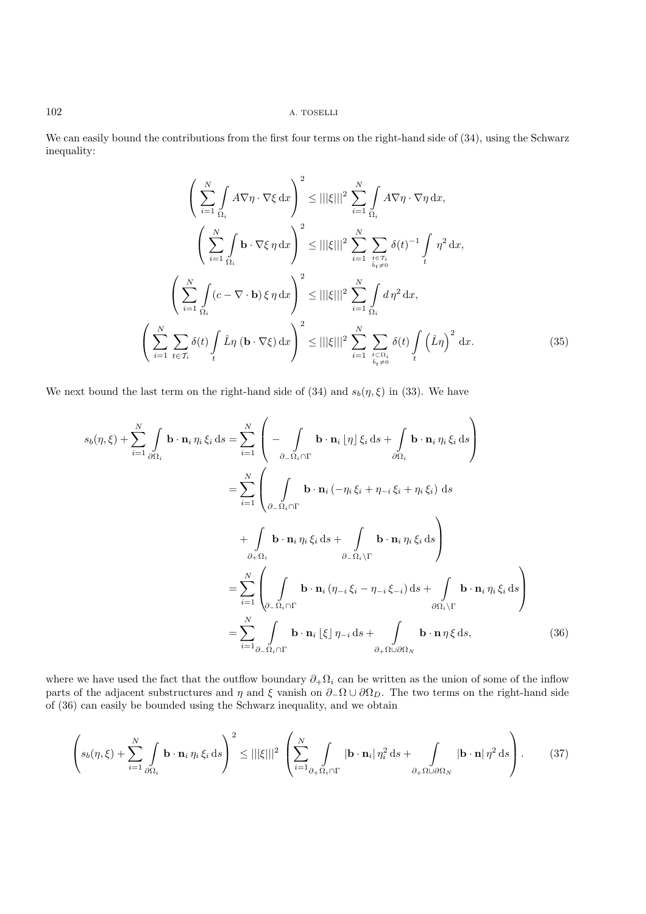We can easily bound the contributions from the first four terms on the right-hand side of  $(34)$ , using the Schwarz inequality:

$$
\left(\sum_{i=1}^{N} \int_{\Omega_{i}} A \nabla \eta \cdot \nabla \xi \, dx\right)^{2} \leq |||\xi|||^{2} \sum_{i=1}^{N} \int_{\Omega_{i}} A \nabla \eta \cdot \nabla \eta \, dx,
$$
\n
$$
\left(\sum_{i=1}^{N} \int_{\Omega_{i}} \mathbf{b} \cdot \nabla \xi \, \eta \, dx\right)^{2} \leq |||\xi|||^{2} \sum_{i=1}^{N} \sum_{\substack{t \in \mathcal{T}_{i} \\ t_{t} \neq 0}} \delta(t)^{-1} \int_{t} \eta^{2} \, dx,
$$
\n
$$
\left(\sum_{i=1}^{N} \int_{\Omega_{i}} (c - \nabla \cdot \mathbf{b}) \xi \, \eta \, dx\right)^{2} \leq |||\xi|||^{2} \sum_{i=1}^{N} \int_{\Omega_{i}} d \eta^{2} \, dx,
$$
\n
$$
\left(\sum_{i=1}^{N} \sum_{t \in \mathcal{T}_{i}} \delta(t) \int_{t} \hat{L} \eta \, (\mathbf{b} \cdot \nabla \xi) \, dx\right)^{2} \leq |||\xi|||^{2} \sum_{i=1}^{N} \sum_{\substack{t \in \Omega_{i} \\ t_{t} \neq 0}} \delta(t) \int_{t} (\hat{L} \eta)^{2} \, dx.
$$
\n(35)

We next bound the last term on the right-hand side of (34) and  $s_b(\eta, \xi)$  in (33). We have

$$
s_{b}(\eta,\xi) + \sum_{i=1}^{N} \int_{\partial\Omega_{i}} \mathbf{b} \cdot \mathbf{n}_{i} \eta_{i} \xi_{i} \, \mathrm{d}s = \sum_{i=1}^{N} \left( - \int_{\partial_{-}\Omega_{i} \cap \Gamma} \mathbf{b} \cdot \mathbf{n}_{i} \left[ \eta \right] \xi_{i} \, \mathrm{d}s + \int_{\partial\Omega_{i}} \mathbf{b} \cdot \mathbf{n}_{i} \eta_{i} \xi_{i} \, \mathrm{d}s \right)
$$

$$
= \sum_{i=1}^{N} \left( \int_{\partial_{-}\Omega_{i} \cap \Gamma} \mathbf{b} \cdot \mathbf{n}_{i} \left( -\eta_{i} \xi_{i} + \eta_{-i} \xi_{i} + \eta_{i} \xi_{i} \right) \, \mathrm{d}s
$$

$$
+ \int_{\partial_{+}\Omega_{i}} \mathbf{b} \cdot \mathbf{n}_{i} \eta_{i} \xi_{i} \, \mathrm{d}s + \int_{\partial_{-}\Omega_{i} \setminus \Gamma} \mathbf{b} \cdot \mathbf{n}_{i} \eta_{i} \xi_{i} \, \mathrm{d}s \right)
$$

$$
= \sum_{i=1}^{N} \left( \int_{\partial_{-}\Omega_{i} \cap \Gamma} \mathbf{b} \cdot \mathbf{n}_{i} \left( \eta_{-i} \xi_{i} - \eta_{-i} \xi_{-i} \right) \mathrm{d}s + \int_{\partial\Omega_{i} \setminus \Gamma} \mathbf{b} \cdot \mathbf{n}_{i} \eta_{i} \xi_{i} \, \mathrm{d}s \right)
$$

$$
= \sum_{i=1}^{N} \int_{\partial_{-}\Omega_{i} \cap \Gamma} \mathbf{b} \cdot \mathbf{n}_{i} \left[ \xi \right] \eta_{-i} \, \mathrm{d}s + \int_{\partial_{+}\Omega \cup \partial\Omega_{N}} \mathbf{b} \cdot \mathbf{n} \eta \xi \, \mathrm{d}s,
$$
(36)

where we have used the fact that the outflow boundary  $\partial_+ \Omega_i$  can be written as the union of some of the inflow parts of the adjacent substructures and  $\eta$  and  $\xi$  vanish on  $\partial_-\Omega \cup \partial\Omega_D$ . The two terms on the right-hand side of (36) can easily be bounded using the Schwarz inequality, and we obtain

$$
\left(s_b(\eta,\xi)+\sum_{i=1}^N\int\limits_{\partial\Omega_i}\mathbf{b}\cdot\mathbf{n}_i\,\eta_i\,\xi_i\,\mathrm{d}s\right)^2\leq |||\xi|||^2\,\left(\sum_{i=1}^N\int\limits_{\partial_+\Omega_i\cap\Gamma}|\mathbf{b}\cdot\mathbf{n}_i|\,\eta_i^2\,\mathrm{d}s+\int\limits_{\partial_+\Omega\cup\partial\Omega_N}|\mathbf{b}\cdot\mathbf{n}|\,\eta^2\,\mathrm{d}s\right).
$$
 (37)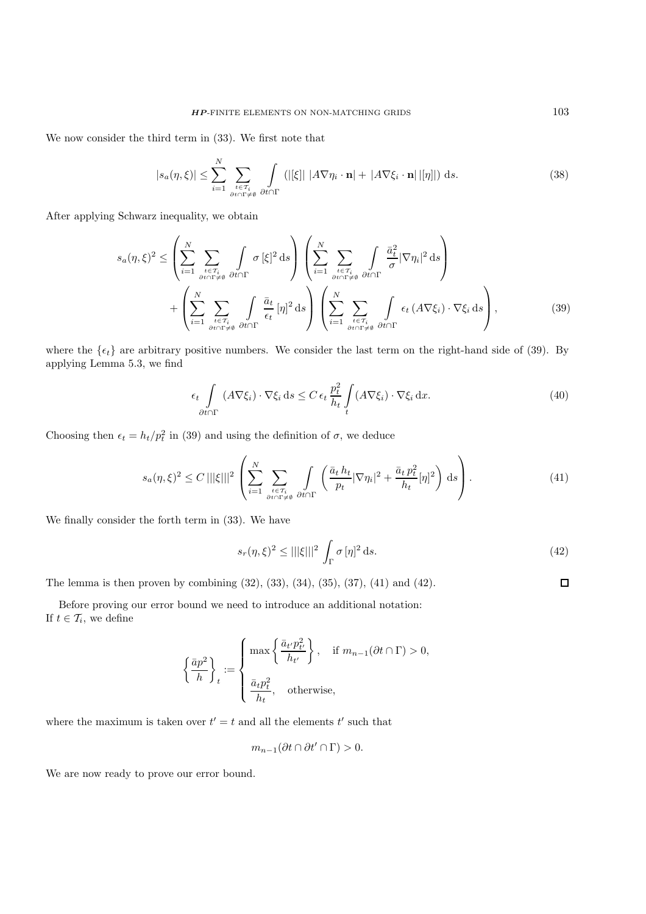We now consider the third term in (33). We first note that

$$
|s_a(\eta,\xi)| \leq \sum_{i=1}^N \sum_{\substack{t \in \mathcal{T}_i \\ \partial t \cap \Gamma \neq \emptyset}} \int \left( |[\xi]| \ |A\nabla \eta_i \cdot \mathbf{n}| + |A\nabla \xi_i \cdot \mathbf{n}| \, |[\eta]| \right) \, \mathrm{d}s. \tag{38}
$$

After applying Schwarz inequality, we obtain

$$
s_a(\eta,\xi)^2 \leq \left(\sum_{i=1}^N \sum_{\substack{t \in \mathcal{T}_i \\ \partial t \cap \Gamma \neq \emptyset}} \int \sigma \, [\xi]^2 \, \mathrm{d}s\right) \left(\sum_{i=1}^N \sum_{\substack{t \in \mathcal{T}_i \\ \partial t \cap \Gamma \neq \emptyset}} \int \frac{\bar{a}_t^2}{\sigma} |\nabla \eta_i|^2 \, \mathrm{d}s\right) \\
+ \left(\sum_{i=1}^N \sum_{\substack{t \in \mathcal{T}_i \\ \partial t \cap \Gamma \neq \emptyset}} \int \frac{\bar{a}_t}{\sigma t} [\eta]^2 \, \mathrm{d}s\right) \left(\sum_{i=1}^N \sum_{\substack{t \in \mathcal{T}_i \\ \partial t \cap \Gamma \neq \emptyset}} \int \sigma_t (A \nabla \xi_i) \cdot \nabla \xi_i \, \mathrm{d}s\right),\tag{39}
$$

where the  $\{\epsilon_t\}$  are arbitrary positive numbers. We consider the last term on the right-hand side of (39). By applying Lemma 5.3, we find

$$
\epsilon_t \int\limits_{\partial t \cap \Gamma} (A \nabla \xi_i) \cdot \nabla \xi_i \, \mathrm{d}s \le C \, \epsilon_t \, \frac{p_t^2}{h_t} \int\limits_t (A \nabla \xi_i) \cdot \nabla \xi_i \, \mathrm{d}x. \tag{40}
$$

Choosing then  $\epsilon_t = h_t/p_t^2$  in (39) and using the definition of  $\sigma$ , we deduce

$$
s_a(\eta,\xi)^2 \le C \, |||\xi|||^2 \left( \sum_{i=1}^N \sum_{\substack{t \in \mathcal{T}_i \\ \partial t \cap \Gamma \neq \emptyset}} \int \left( \frac{\bar{a}_t h_t}{p_t} |\nabla \eta_i|^2 + \frac{\bar{a}_t p_t^2}{h_t} [\eta]^2 \right) \, \mathrm{d}s \right). \tag{41}
$$

We finally consider the forth term in (33). We have

$$
s_r(\eta,\xi)^2 \le |||\xi|||^2 \int_{\Gamma} \sigma[\eta]^2 \, \mathrm{d}s. \tag{42}
$$

The lemma is then proven by combining (32), (33), (34), (35), (37), (41) and (42).

Before proving our error bound we need to introduce an additional notation: If  $t \in \mathcal{T}_i$ , we define

$$
\left\{\frac{\bar{a}p^2}{h}\right\}_t := \begin{cases} \max\left\{\frac{\bar{a}_{t'}p_{t'}^2}{h_{t'}}\right\}, & \text{if } m_{n-1}(\partial t \cap \Gamma) > 0, \\ \frac{\bar{a}_{t}p_{t}^2}{h_{t}}, & \text{otherwise,} \end{cases}
$$

where the maximum is taken over  $t' = t$  and all the elements  $t'$  such that

$$
m_{n-1}(\partial t \cap \partial t' \cap \Gamma) > 0.
$$

We are now ready to prove our error bound.

 $\Box$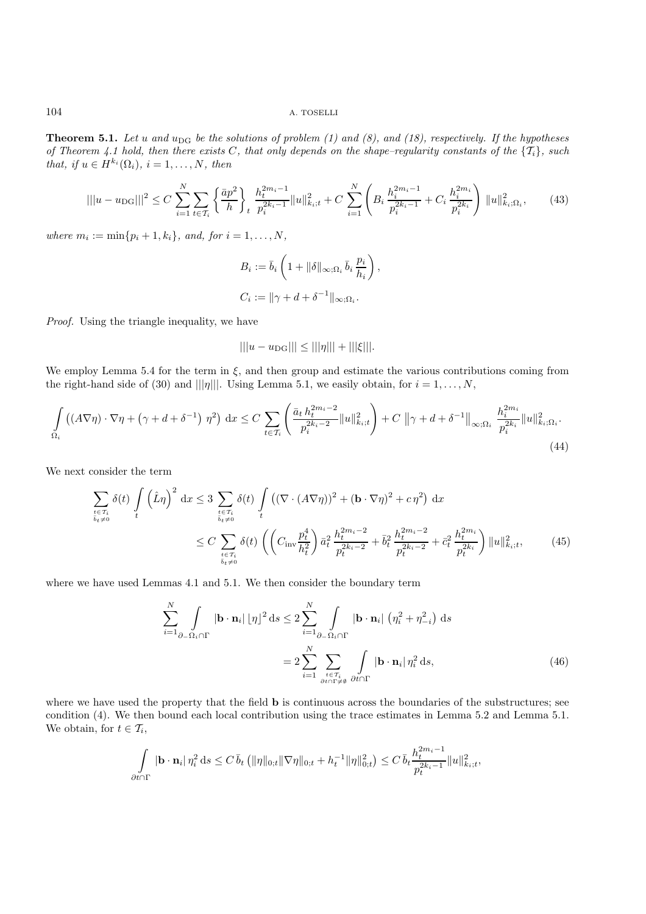**Theorem 5.1.** Let u and  $u_{\text{DG}}$  be the solutions of problem (1) and (8), and (18), respectively. If the hypotheses *of Theorem 4.1 hold, then there exists* C*, that only depends on the shape–regularity constants of the* {Ti}*, such that, if*  $u \in H^{k_i}(\Omega_i)$ *,*  $i = 1, \ldots, N$ *, then* 

$$
|||u - u_{\text{DG}}|||^{2} \leq C \sum_{i=1}^{N} \sum_{t \in \mathcal{T}_{i}} \left\{ \frac{\bar{a}p^{2}}{h} \right\}_{t} \frac{h_{t}^{2m_{i}-1}}{p_{i}^{2k_{i}-1}} ||u||_{k_{i};t}^{2} + C \sum_{i=1}^{N} \left( B_{i} \frac{h_{i}^{2m_{i}-1}}{p_{i}^{2k_{i}-1}} + C_{i} \frac{h_{i}^{2m_{i}}}{p_{i}^{2k_{i}}} \right) ||u||_{k_{i};\Omega_{i}}^{2}, \tag{43}
$$

*where*  $m_i := \min\{p_i + 1, k_i\}$ *, and, for*  $i = 1, ..., N$ *,* 

$$
B_i := \bar{b}_i \left( 1 + \|\delta\|_{\infty; \Omega_i} \bar{b}_i \frac{p_i}{h_i} \right),
$$
  

$$
C_i := \|\gamma + d + \delta^{-1}\|_{\infty; \Omega_i}.
$$

*Proof.* Using the triangle inequality, we have

$$
|||u - u_{\text{DG}}||| \le |||\eta||| + |||\xi|||.
$$

We employ Lemma 5.4 for the term in  $\xi$ , and then group and estimate the various contributions coming from the right-hand side of (30) and |||η||. Using Lemma 5.1, we easily obtain, for  $i = 1, \ldots, N$ ,

$$
\int_{\Omega_i} \left( (A\nabla \eta) \cdot \nabla \eta + (\gamma + d + \delta^{-1}) \eta^2 \right) dx \le C \sum_{t \in \mathcal{T}_i} \left( \frac{\bar{a}_t h_t^{2m_i - 2}}{p_i^{2k_i - 2}} ||u||_{k_i; t}^2 \right) + C ||\gamma + d + \delta^{-1}||_{\infty; \Omega_i} \frac{h_i^{2m_i}}{p_i^{2k_i}} ||u||_{k_i; \Omega_i}^2.
$$
\n(44)

We next consider the term

$$
\sum_{\substack{t \in \mathcal{T}_i \\ \overline{b}_t \neq 0}} \delta(t) \int_t \left(\hat{L}\eta\right)^2 dx \le 3 \sum_{\substack{t \in \mathcal{T}_i \\ \overline{b}_t \neq 0}} \delta(t) \int_t \left( (\nabla \cdot (A\nabla \eta))^2 + (\mathbf{b} \cdot \nabla \eta)^2 + c\eta^2 \right) dx
$$
\n
$$
\le C \sum_{\substack{t \in \mathcal{T}_i \\ \overline{b}_t \neq 0}} \delta(t) \left( \left( C_{\text{inv}} \frac{p_t^4}{h_t^2} \right) \bar{a}_t^2 \frac{h_t^{2m_i - 2}}{p_t^{2k_i - 2}} + \bar{b}_t^2 \frac{h_t^{2m_i - 2}}{p_t^{2k_i - 2}} + \bar{c}_t^2 \frac{h_t^{2m_i}}{p_t^{2k_i}} \right) \|u\|_{k_i; t}^2, \tag{45}
$$

where we have used Lemmas 4.1 and 5.1. We then consider the boundary term

$$
\sum_{i=1}^{N} \int_{\partial_{-}\Omega_{i} \cap \Gamma} |\mathbf{b} \cdot \mathbf{n}_{i}| |\eta|^{2} ds \leq 2 \sum_{i=1}^{N} \int_{\partial_{-}\Omega_{i} \cap \Gamma} |\mathbf{b} \cdot \mathbf{n}_{i}| (\eta_{i}^{2} + \eta_{-i}^{2}) ds
$$

$$
= 2 \sum_{i=1}^{N} \sum_{\substack{t \in T_{i} \\ \partial t \cap \Gamma \neq \emptyset}} \int_{\partial t \cap \Gamma} |\mathbf{b} \cdot \mathbf{n}_{i}| \eta_{i}^{2} ds,
$$
(46)

where we have used the property that the field **b** is continuous across the boundaries of the substructures; see condition (4). We then bound each local contribution using the trace estimates in Lemma 5.2 and Lemma 5.1. We obtain, for  $t \in \mathcal{T}_i$ ,

$$
\int_{\partial t \cap \Gamma} |\mathbf{b} \cdot \mathbf{n}_i| \, \eta_i^2 \, \mathrm{d}s \leq C \, \bar{b}_t \left( \|\eta\|_{0;t} \|\nabla \eta\|_{0;t} + h_t^{-1} \|\eta\|_{0;t}^2 \right) \leq C \, \bar{b}_t \frac{h_t^{2m_i - 1}}{p_t^{2k_i - 1}} \|u\|_{k_i;t}^2,
$$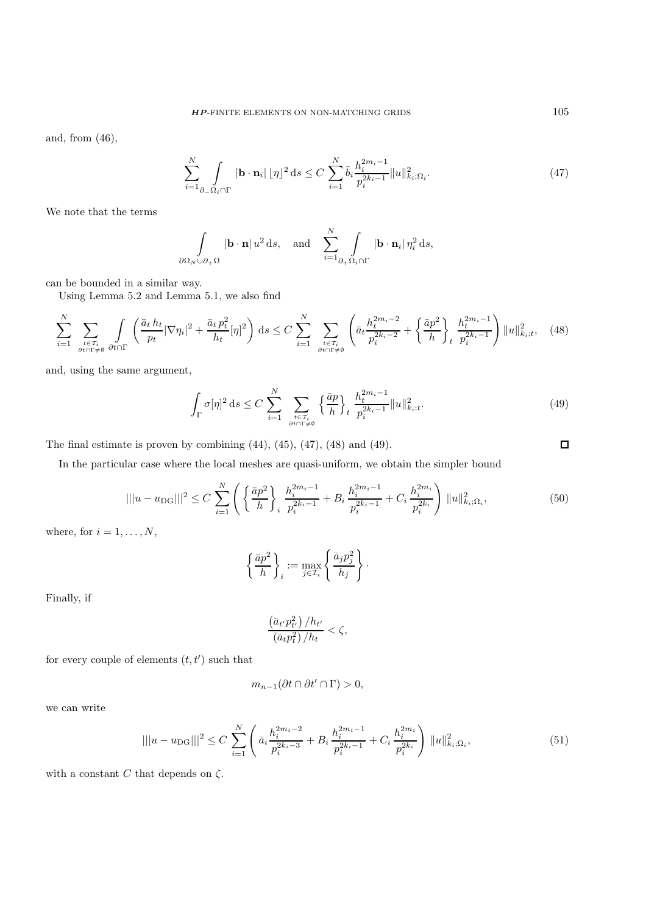and, from (46),

$$
\sum_{i=1}^{N} \int_{\partial_{-}\Omega_{i} \cap \Gamma} |\mathbf{b} \cdot \mathbf{n}_{i}| |\eta|^{2} ds \le C \sum_{i=1}^{N} \bar{b}_{i} \frac{h_{i}^{2m_{i}-1}}{p_{i}^{2k_{i}-1}} ||u||_{k_{i};\Omega_{i}}^{2}.
$$
\n(47)

We note that the terms

$$
\int_{\partial\Omega_N\cup\partial_+\Omega} |\mathbf{b}\cdot\mathbf{n}| \, u^2 \, \mathrm{d}s, \quad \text{and} \quad \sum_{i=1}^N \int_{\partial_+\Omega_i\cap\Gamma} |\mathbf{b}\cdot\mathbf{n}_i| \, \eta_i^2 \, \mathrm{d}s,
$$

can be bounded in a similar way.

Using Lemma 5.2 and Lemma 5.1, we also find

$$
\sum_{i=1}^{N} \sum_{\substack{t \in T_i \\ \partial t \cap \Gamma \neq \emptyset}} \int_{\partial t \cap \Gamma} \left( \frac{\bar{a}_t h_t}{p_t} |\nabla \eta_i|^2 + \frac{\bar{a}_t p_t^2}{h_t} [\eta]^2 \right) ds \le C \sum_{i=1}^{N} \sum_{\substack{t \in T_i \\ \partial t \cap \Gamma \neq \emptyset}} \left( \bar{a}_t \frac{h_t^{2m_i - 2}}{p_i^{2k_i - 2}} + \left\{ \frac{\bar{a}_p}{h} \right\}_t \frac{h_t^{2m_i - 1}}{p_i^{2k_i - 1}} \right) ||u||_{k_i; t}^2, \quad (48)
$$

and, using the same argument,

$$
\int_{\Gamma} \sigma[\eta]^2 \, ds \le C \sum_{i=1}^N \sum_{\substack{t \in \mathcal{T}_i \\ \partial t \cap \Gamma \ne \emptyset}} \left\{ \frac{\bar{a}p}{h} \right\}_t \frac{h_t^{2m_i - 1}}{p_i^{2k_i - 1}} \|u\|_{k_i; t}^2. \tag{49}
$$

The final estimate is proven by combining (44), (45), (47), (48) and (49).

 $\Box$ 

In the particular case where the local meshes are quasi-uniform, we obtain the simpler bound

$$
|||u - u_{\text{DG}}|||^{2} \leq C \sum_{i=1}^{N} \left( \left\{ \frac{\bar{a}p^{2}}{h} \right\}_{i} \frac{h_{i}^{2m_{i}-1}}{p_{i}^{2k_{i}-1}} + B_{i} \frac{h_{i}^{2m_{i}-1}}{p_{i}^{2k_{i}-1}} + C_{i} \frac{h_{i}^{2m_{i}}}{p_{i}^{2k_{i}}} \right) ||u||_{k_{i};\Omega_{i}}^{2}, \tag{50}
$$

where, for  $i = 1, \ldots, N$ ,

$$
\left\{\frac{\bar{a}p^2}{h}\right\}_i := \max_{j \in \mathcal{I}_i} \left\{\frac{\bar{a}_j p_j^2}{h_j}\right\}.
$$

Finally, if

$$
\frac{\left(\bar{a}_{t'}p_{t'}^2\right)/h_{t'}}{\left(\bar{a}_{t}p_{t}^2\right)/h_{t}} < \zeta,
$$

for every couple of elements  $(t, t')$  such that

$$
m_{n-1}(\partial t \cap \partial t' \cap \Gamma) > 0,
$$

we can write

$$
|||u - u_{\text{DG}}|||^{2} \leq C \sum_{i=1}^{N} \left( \bar{a}_{i} \frac{h_{i}^{2m_{i}-2}}{p_{i}^{2k_{i}-3}} + B_{i} \frac{h_{i}^{2m_{i}-1}}{p_{i}^{2k_{i}-1}} + C_{i} \frac{h_{i}^{2m_{i}}}{p_{i}^{2k_{i}}} \right) ||u||_{k_{i};\Omega_{i}}^{2}, \tag{51}
$$

with a constant  $C$  that depends on  $\zeta.$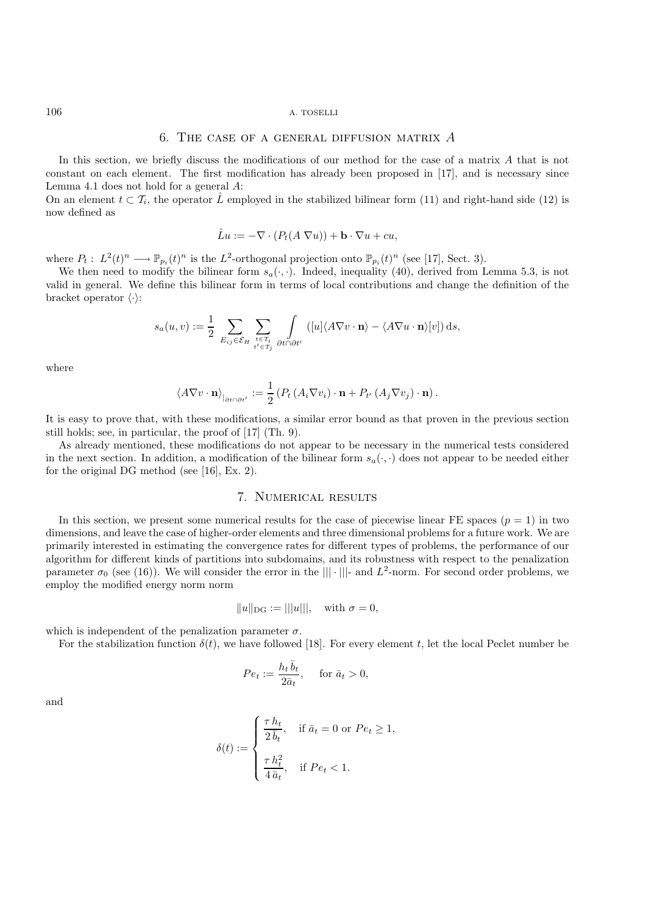#### $106$   $\,$  A. TOSELLI

## 6. The case of a general diffusion matrix *A*

In this section, we briefly discuss the modifications of our method for the case of a matrix A that is not constant on each element. The first modification has already been proposed in [17], and is necessary since Lemma 4.1 does not hold for a general A:

On an element  $t \,\subset \mathcal{T}_i$ , the operator  $\hat{L}$  employed in the stabilized bilinear form (11) and right-hand side (12) is now defined as

$$
\hat{L}u := -\nabla \cdot (P_t(A \nabla u)) + \mathbf{b} \cdot \nabla u + cu,
$$

where  $P_t: L^2(t)^n \longrightarrow \mathbb{P}_{p_i}(t)^n$  is the  $L^2$ -orthogonal projection onto  $\mathbb{P}_{p_i}(t)^n$  (see [17], Sect. 3).

We then need to modify the bilinear form  $s_a(\cdot, \cdot)$ . Indeed, inequality (40), derived from Lemma 5.3, is not valid in general. We define this bilinear form in terms of local contributions and change the definition of the bracket operator  $\langle \cdot \rangle$ :

$$
s_a(u,v) := \frac{1}{2} \sum_{E_{ij} \in \mathcal{E}_H} \sum_{\substack{t \in \mathcal{T}_i \\ t' \in \mathcal{T}_j}} \int_{\partial t \cap \partial t'} ([u] \langle A \nabla v \cdot \mathbf{n} \rangle - \langle A \nabla u \cdot \mathbf{n} \rangle [v]) ds,
$$

where

$$
\langle A \nabla v \cdot \mathbf{n} \rangle_{\vert_{\partial t \cap \partial t'}} := \frac{1}{2} \left( P_t \left( A_i \nabla v_i \right) \cdot \mathbf{n} + P_{t'} \left( A_j \nabla v_j \right) \cdot \mathbf{n} \right).
$$

It is easy to prove that, with these modifications, a similar error bound as that proven in the previous section still holds; see, in particular, the proof of [17] (Th. 9).

As already mentioned, these modifications do not appear to be necessary in the numerical tests considered in the next section. In addition, a modification of the bilinear form  $s_a(\cdot, \cdot)$  does not appear to be needed either for the original DG method (see [16], Ex. 2).

## 7. Numerical results

In this section, we present some numerical results for the case of piecewise linear FE spaces  $(p = 1)$  in two dimensions, and leave the case of higher-order elements and three dimensional problems for a future work. We are primarily interested in estimating the convergence rates for different types of problems, the performance of our algorithm for different kinds of partitions into subdomains, and its robustness with respect to the penalization parameter  $\sigma_0$  (see (16)). We will consider the error in the  $|||\cdot|||$ - and  $L^2$ -norm. For second order problems, we employ the modified energy norm norm

$$
||u||_{DG} := |||u|||
$$
, with  $\sigma = 0$ ,

which is independent of the penalization parameter  $\sigma$ .

For the stabilization function  $\delta(t)$ , we have followed [18]. For every element t, let the local Peclet number be

$$
Pe_t := \frac{h_t \,\bar{b}_t}{2 \bar{a}_t}, \quad \text{ for } \bar{a}_t > 0,
$$

and

$$
\delta(t) := \begin{cases} \frac{\tau h_t}{2 \bar{b}_t}, & \text{if } \bar{a}_t = 0 \text{ or } Pe_t \ge 1, \\ \frac{\tau h_t^2}{4 \bar{a}_t}, & \text{if } Pe_t < 1. \end{cases}
$$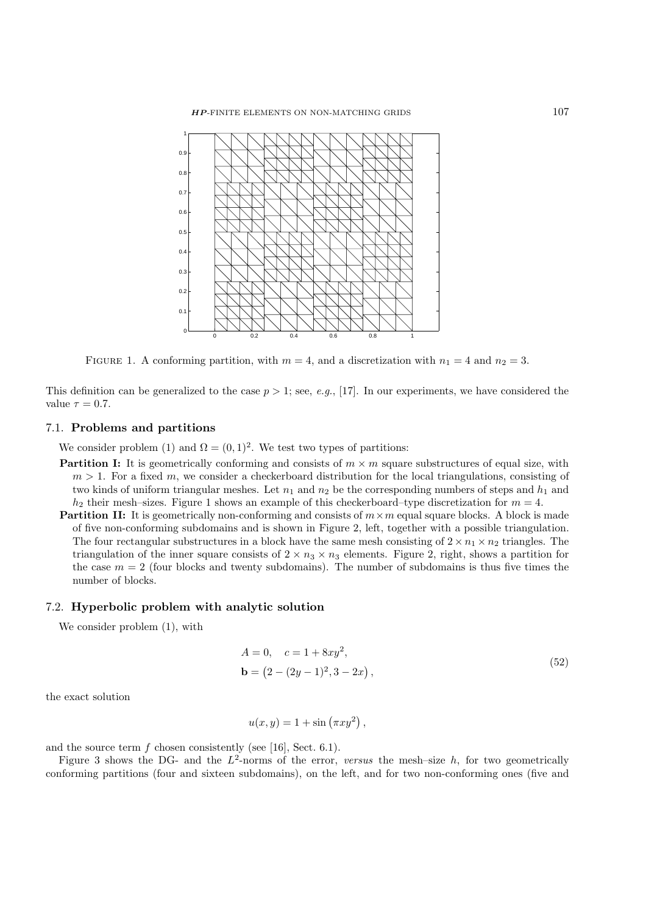

FIGURE 1. A conforming partition, with  $m = 4$ , and a discretization with  $n_1 = 4$  and  $n_2 = 3$ .

This definition can be generalized to the case  $p > 1$ ; see, *e.g.*, [17]. In our experiments, we have considered the value  $\tau = 0.7$ .

#### 7.1. **Problems and partitions**

We consider problem (1) and  $\Omega = (0, 1)^2$ . We test two types of partitions:

- **Partition I:** It is geometrically conforming and consists of  $m \times m$  square substructures of equal size, with  $m > 1$ . For a fixed m, we consider a checkerboard distribution for the local triangulations, consisting of two kinds of uniform triangular meshes. Let  $n_1$  and  $n_2$  be the corresponding numbers of steps and  $h_1$  and  $h_2$  their mesh–sizes. Figure 1 shows an example of this checkerboard–type discretization for  $m = 4$ .
- **Partition II:** It is geometrically non-conforming and consists of  $m \times m$  equal square blocks. A block is made of five non-conforming subdomains and is shown in Figure 2, left, together with a possible triangulation. The four rectangular substructures in a block have the same mesh consisting of  $2 \times n_1 \times n_2$  triangles. The triangulation of the inner square consists of  $2 \times n_3 \times n_3$  elements. Figure 2, right, shows a partition for the case  $m = 2$  (four blocks and twenty subdomains). The number of subdomains is thus five times the number of blocks.

## 7.2. **Hyperbolic problem with analytic solution**

We consider problem (1), with

$$
A = 0, \quad c = 1 + 8xy^{2},
$$
  

$$
\mathbf{b} = (2 - (2y - 1)^{2}, 3 - 2x),
$$
 (52)

the exact solution

$$
u(x,y) = 1 + \sin(\pi x y^2),
$$

and the source term  $f$  chosen consistently (see [16], Sect. 6.1).

Figure 3 shows the DG- and the  $L^2$ -norms of the error, *versus* the mesh-size h, for two geometrically conforming partitions (four and sixteen subdomains), on the left, and for two non-conforming ones (five and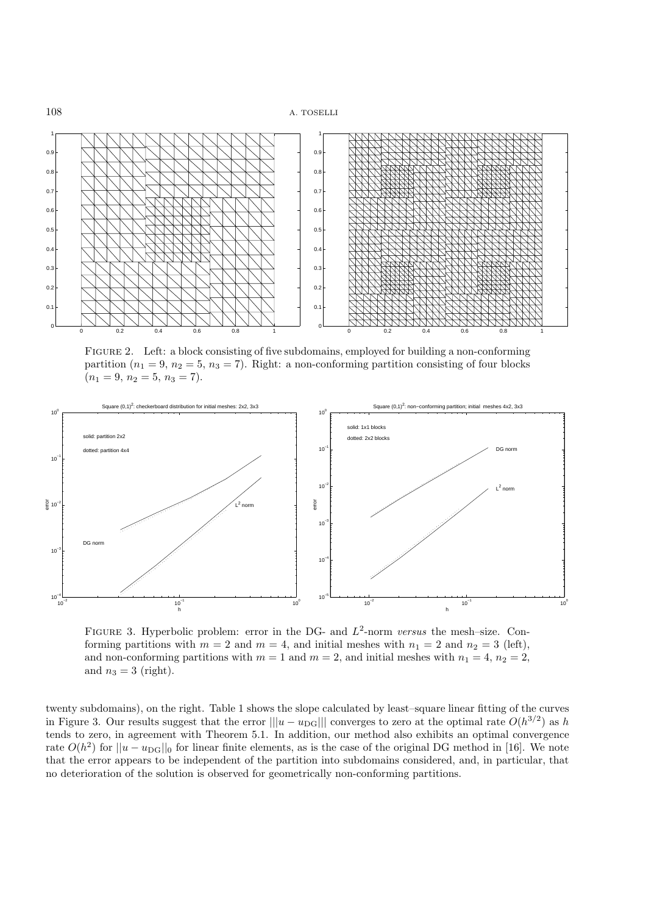

FIGURE 2. Left: a block consisting of five subdomains, employed for building a non-conforming partition  $(n_1 = 9, n_2 = 5, n_3 = 7)$ . Right: a non-conforming partition consisting of four blocks  $(n_1 = 9, n_2 = 5, n_3 = 7).$ 



Figure 3. Hyperbolic problem: error in the DG- and L<sup>2</sup>-norm *versus* the mesh–size. Conforming partitions with  $m = 2$  and  $m = 4$ , and initial meshes with  $n_1 = 2$  and  $n_2 = 3$  (left), and non-conforming partitions with  $m = 1$  and  $m = 2$ , and initial meshes with  $n_1 = 4$ ,  $n_2 = 2$ , and  $n_3 = 3$  (right).

twenty subdomains), on the right. Table 1 shows the slope calculated by least–square linear fitting of the curves in Figure 3. Our results suggest that the error  $||u - u_{\text{DG}}||$  converges to zero at the optimal rate  $O(h^{3/2})$  as h tends to zero, in agreement with Theorem 5.1. In addition, our method also exhibits an optimal convergence rate  $O(h^2)$  for  $||u - u_{\text{DG}}||_0$  for linear finite elements, as is the case of the original DG method in [16]. We note that the error appears to be independent of the partition into subdomains considered, and, in particular, that no deterioration of the solution is observed for geometrically non-conforming partitions.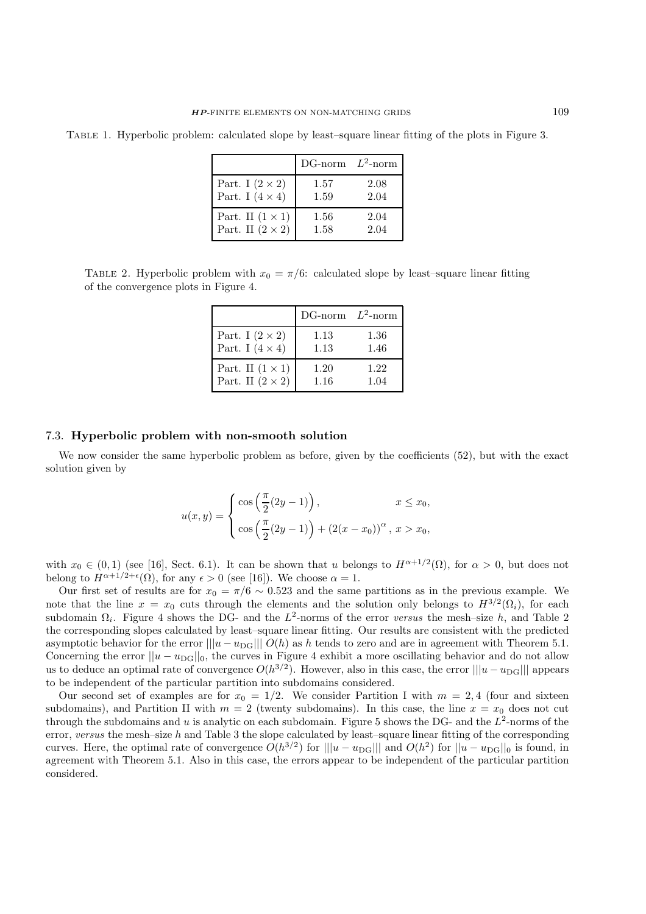| TABLE 1. Hyperbolic problem: calculated slope by least-square linear fitting of the plots in Figure 3. |  |  |  |  |  |  |
|--------------------------------------------------------------------------------------------------------|--|--|--|--|--|--|
|                                                                                                        |  |  |  |  |  |  |
|                                                                                                        |  |  |  |  |  |  |
|                                                                                                        |  |  |  |  |  |  |

|                         | DG-norm $L^2$ -norm |      |
|-------------------------|---------------------|------|
| Part. I $(2 \times 2)$  | 1.57                | 2.08 |
| Part. I $(4 \times 4)$  | 1.59                | 2.04 |
| Part. II $(1 \times 1)$ | 1.56                | 2.04 |
| Part. II $(2 \times 2)$ | 1.58                | 2.04 |

TABLE 2. Hyperbolic problem with  $x_0 = \pi/6$ : calculated slope by least–square linear fitting of the convergence plots in Figure 4.

|                         | DG-norm $L^2$ -norm |      |
|-------------------------|---------------------|------|
| Part. I $(2 \times 2)$  | 1.13                | 1.36 |
| Part. I $(4 \times 4)$  | 1.13                | 1.46 |
| Part. II $(1 \times 1)$ | 1.20                | 1.22 |
| Part. II $(2 \times 2)$ | 1.16                | 1.04 |

#### 7.3. **Hyperbolic problem with non-smooth solution**

We now consider the same hyperbolic problem as before, given by the coefficients (52), but with the exact solution given by

$$
u(x,y) = \begin{cases} \cos\left(\frac{\pi}{2}(2y-1)\right), & x \le x_0, \\ \cos\left(\frac{\pi}{2}(2y-1)\right) + (2(x-x_0))^{\alpha}, & x > x_0, \end{cases}
$$

with  $x_0 \in (0,1)$  (see [16], Sect. 6.1). It can be shown that u belongs to  $H^{\alpha+1/2}(\Omega)$ , for  $\alpha > 0$ , but does not belong to  $H^{\alpha+1/2+\epsilon}(\Omega)$ , for any  $\epsilon > 0$  (see [16]). We choose  $\alpha = 1$ .

Our first set of results are for  $x_0 = \pi/6 \sim 0.523$  and the same partitions as in the previous example. We note that the line  $x = x_0$  cuts through the elements and the solution only belongs to  $H^{3/2}(\Omega_i)$ , for each subdomain  $\Omega_i$ . Figure 4 shows the DG- and the L<sup>2</sup>-norms of the error *versus* the mesh–size h, and Table 2 the corresponding slopes calculated by least–square linear fitting. Our results are consistent with the predicted asymptotic behavior for the error  $||u - u_{\text{DG}}|| \cdot |O(h)$  as h tends to zero and are in agreement with Theorem 5.1. Concerning the error  $||u - u_{\text{DG}}||_0$ , the curves in Figure 4 exhibit a more oscillating behavior and do not allow us to deduce an optimal rate of convergence  $O(h^{3/2})$ . However, also in this case, the error  $||u - u_{\text{DG}}||$  appears to be independent of the particular partition into subdomains considered.

Our second set of examples are for  $x_0 = 1/2$ . We consider Partition I with  $m = 2, 4$  (four and sixteen subdomains), and Partition II with  $m = 2$  (twenty subdomains). In this case, the line  $x = x_0$  does not cut through the subdomains and u is analytic on each subdomain. Figure 5 shows the DG- and the  $L^2$ -norms of the error, *versus* the mesh–size h and Table 3 the slope calculated by least–square linear fitting of the corresponding curves. Here, the optimal rate of convergence  $O(h^{3/2})$  for  $||u - u_{\text{DG}}||$  and  $O(h^2)$  for  $||u - u_{\text{DG}}||_0$  is found, in agreement with Theorem 5.1. Also in this case, the errors appear to be independent of the particular partition considered.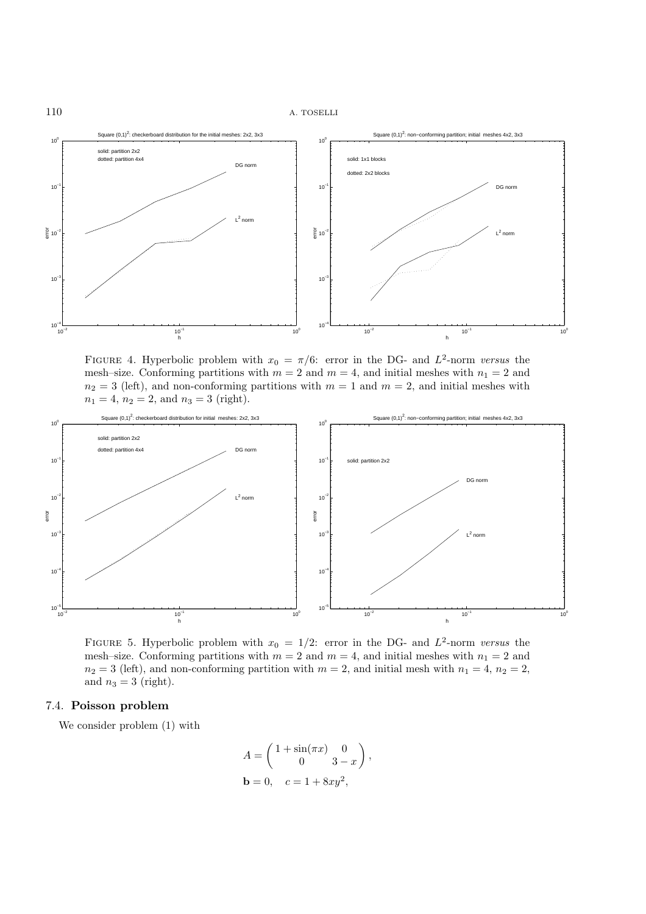

FIGURE 4. Hyperbolic problem with  $x_0 = \pi/6$ : error in the DG- and  $L^2$ -norm *versus* the mesh–size. Conforming partitions with  $m = 2$  and  $m = 4$ , and initial meshes with  $n_1 = 2$  and  $n_2 = 3$  (left), and non-conforming partitions with  $m = 1$  and  $m = 2$ , and initial meshes with  $n_1 = 4$ ,  $n_2 = 2$ , and  $n_3 = 3$  (right).



FIGURE 5. Hyperbolic problem with  $x_0 = 1/2$ : error in the DG- and  $L^2$ -norm *versus* the mesh–size. Conforming partitions with  $m = 2$  and  $m = 4$ , and initial meshes with  $n_1 = 2$  and  $n_2 = 3$  (left), and non-conforming partition with  $m = 2$ , and initial mesh with  $n_1 = 4$ ,  $n_2 = 2$ , and  $n_3 = 3$  (right).

# 7.4. **Poisson problem**

We consider problem (1) with

$$
A = \begin{pmatrix} 1 + \sin(\pi x) & 0 \\ 0 & 3 - x \end{pmatrix},
$$
  

$$
\mathbf{b} = 0, \quad c = 1 + 8xy^2,
$$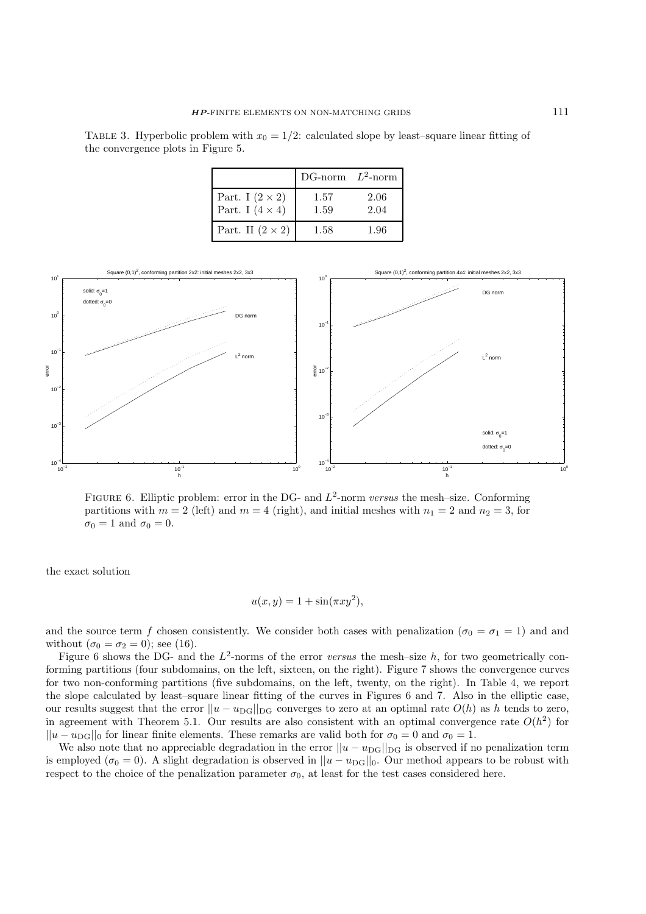TABLE 3. Hyperbolic problem with  $x_0 = 1/2$ : calculated slope by least–square linear fitting of the convergence plots in Figure 5.

|                                                  | DG-norm $L^2$ -norm |              |
|--------------------------------------------------|---------------------|--------------|
| Part. I $(2 \times 2)$<br>Part. I $(4 \times 4)$ | 1.57<br>1.59        | 2.06<br>2.04 |
| Part. II $(2 \times 2)$                          | 1.58                | 1.96         |



Figure 6. Elliptic problem: error in the DG- and L<sup>2</sup>-norm *versus* the mesh–size. Conforming partitions with  $m = 2$  (left) and  $m = 4$  (right), and initial meshes with  $n_1 = 2$  and  $n_2 = 3$ , for  $\sigma_0 = 1$  and  $\sigma_0 = 0$ .

the exact solution

$$
u(x,y) = 1 + \sin(\pi x y^2),
$$

and the source term f chosen consistently. We consider both cases with penalization ( $\sigma_0 = \sigma_1 = 1$ ) and and without  $(\sigma_0 = \sigma_2 = 0)$ ; see (16).

Figure 6 shows the DG- and the  $L^2$ -norms of the error *versus* the mesh-size h, for two geometrically conforming partitions (four subdomains, on the left, sixteen, on the right). Figure 7 shows the convergence curves for two non-conforming partitions (five subdomains, on the left, twenty, on the right). In Table 4, we report the slope calculated by least–square linear fitting of the curves in Figures 6 and 7. Also in the elliptic case, our results suggest that the error  $||u - u_{\text{DG}}||_{\text{DG}}$  converges to zero at an optimal rate  $O(h)$  as h tends to zero, in agreement with Theorem 5.1. Our results are also consistent with an optimal convergence rate  $O(h^2)$  for  $||u - u_{\text{DG}}||_0$  for linear finite elements. These remarks are valid both for  $\sigma_0 = 0$  and  $\sigma_0 = 1$ .

We also note that no appreciable degradation in the error  $||u - u_{\text{DG}}||_{\text{DG}}$  is observed if no penalization term is employed ( $\sigma_0 = 0$ ). A slight degradation is observed in  $||u - u_{\text{DG}}||_0$ . Our method appears to be robust with respect to the choice of the penalization parameter  $\sigma_0$ , at least for the test cases considered here.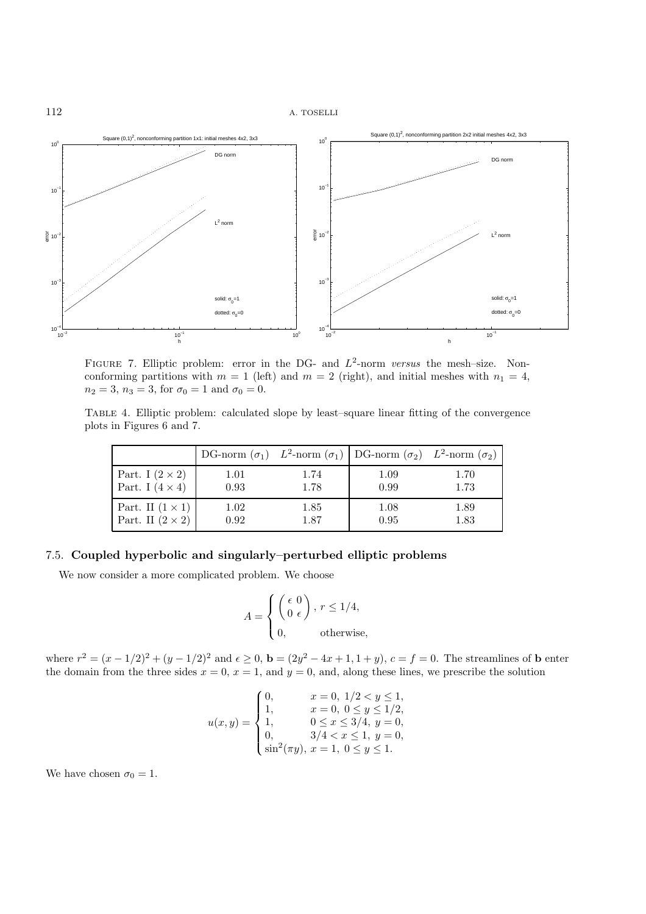

FIGURE 7. Elliptic problem: error in the DG- and  $L^2$ -norm *versus* the mesh-size. Nonconforming partitions with  $m = 1$  (left) and  $m = 2$  (right), and initial meshes with  $n_1 = 4$ ,  $n_2 = 3$ ,  $n_3 = 3$ , for  $\sigma_0 = 1$  and  $\sigma_0 = 0$ .

Table 4. Elliptic problem: calculated slope by least–square linear fitting of the convergence plots in Figures 6 and 7.

|                         |      |      | DG-norm $(\sigma_1)$ $L^2$ -norm $(\sigma_1)$ DG-norm $(\sigma_2)$ $L^2$ -norm $(\sigma_2)$ |      |
|-------------------------|------|------|---------------------------------------------------------------------------------------------|------|
| Part. I $(2 \times 2)$  | 1.01 | 1.74 | 1.09                                                                                        | 1.70 |
| Part. I $(4 \times 4)$  | 0.93 | 1.78 | 0.99                                                                                        | 1.73 |
| Part. II $(1 \times 1)$ | 1.02 | 1.85 | 1.08                                                                                        | 1.89 |
| Part. II $(2 \times 2)$ | 0.92 | 1.87 | 0.95                                                                                        | 1.83 |

# 7.5. **Coupled hyperbolic and singularly–perturbed elliptic problems**

We now consider a more complicated problem. We choose

$$
A = \begin{cases} \begin{pmatrix} \epsilon & 0 \\ 0 & \epsilon \end{pmatrix}, r \le 1/4, \\ 0, \qquad \text{otherwise}, \end{cases}
$$

where  $r^2 = (x - 1/2)^2 + (y - 1/2)^2$  and  $\epsilon \ge 0$ ,  $\mathbf{b} = (2y^2 - 4x + 1, 1 + y)$ ,  $c = f = 0$ . The streamlines of **b** enter the domain from the three sides  $x = 0$ ,  $x = 1$ , and  $y = 0$ , and, along these lines, we prescribe the solution

$$
u(x,y) = \begin{cases} 0, & x = 0, \ 1/2 < y \le 1, \\ 1, & x = 0, \ 0 \le y \le 1/2, \\ 1, & 0 \le x \le 3/4, \ y = 0, \\ 0, & 3/4 < x \le 1, \ y = 0, \\ \sin^2(\pi y), \ x = 1, \ 0 \le y \le 1. \end{cases}
$$

We have chosen  $\sigma_0 = 1$ .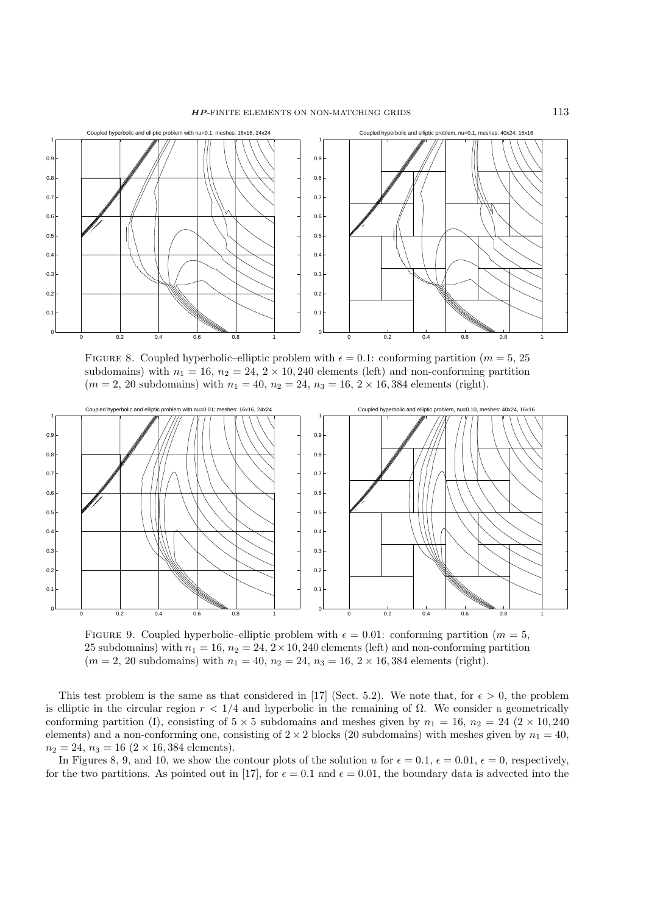

FIGURE 8. Coupled hyperbolic-elliptic problem with  $\epsilon = 0.1$ : conforming partition ( $m = 5, 25$ ) subdomains) with  $n_1 = 16$ ,  $n_2 = 24$ ,  $2 \times 10$ , 240 elements (left) and non-conforming partition  $(m = 2, 20 \text{ subdomains})$  with  $n_1 = 40$ ,  $n_2 = 24$ ,  $n_3 = 16$ ,  $2 \times 16$ , 384 elements (right).



FIGURE 9. Coupled hyperbolic–elliptic problem with  $\epsilon = 0.01$ : conforming partition ( $m = 5$ , 25 subdomains) with  $n_1 = 16$ ,  $n_2 = 24$ ,  $2 \times 10$ , 240 elements (left) and non-conforming partition  $(m = 2, 20 \text{ subdomains})$  with  $n_1 = 40$ ,  $n_2 = 24$ ,  $n_3 = 16$ ,  $2 \times 16$ , 384 elements (right).

This test problem is the same as that considered in [17] (Sect. 5.2). We note that, for  $\epsilon > 0$ , the problem is elliptic in the circular region  $r < 1/4$  and hyperbolic in the remaining of  $\Omega$ . We consider a geometrically conforming partition (I), consisting of  $5 \times 5$  subdomains and meshes given by  $n_1 = 16$ ,  $n_2 = 24$  ( $2 \times 10$ , 240) elements) and a non-conforming one, consisting of  $2 \times 2$  blocks (20 subdomains) with meshes given by  $n_1 = 40$ ,  $n_2 = 24$ ,  $n_3 = 16$   $(2 \times 16, 384$  elements).

In Figures 8, 9, and 10, we show the contour plots of the solution u for  $\epsilon = 0.1$ ,  $\epsilon = 0.01$ ,  $\epsilon = 0$ , respectively, for the two partitions. As pointed out in [17], for  $\epsilon = 0.1$  and  $\epsilon = 0.01$ , the boundary data is advected into the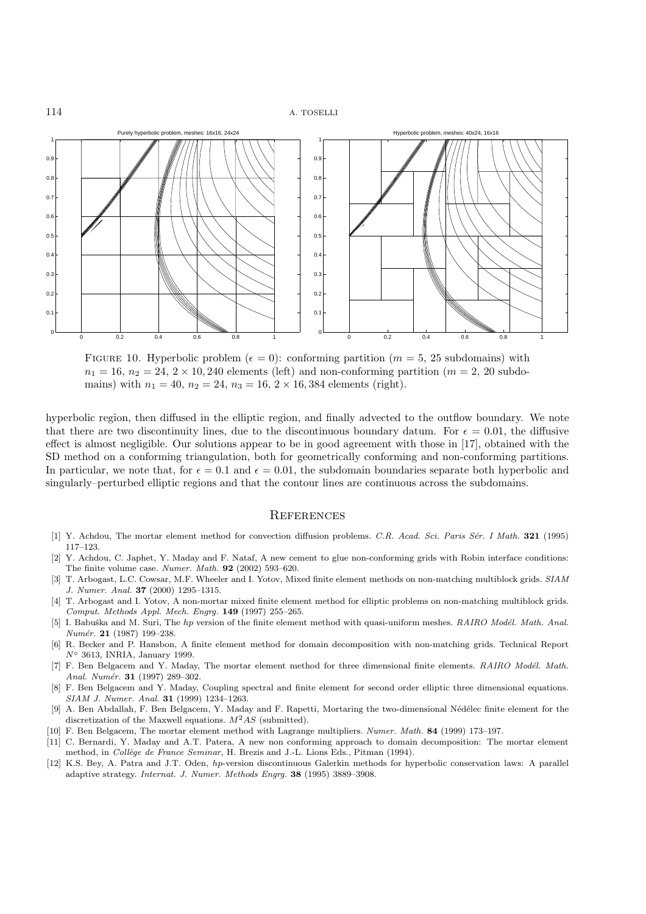

FIGURE 10. Hyperbolic problem ( $\epsilon = 0$ ): conforming partition ( $m = 5, 25$  subdomains) with  $n_1 = 16$ ,  $n_2 = 24$ ,  $2 \times 10$ , 240 elements (left) and non-conforming partition ( $m = 2$ , 20 subdomains) with  $n_1 = 40$ ,  $n_2 = 24$ ,  $n_3 = 16$ ,  $2 \times 16$ , 384 elements (right).

hyperbolic region, then diffused in the elliptic region, and finally advected to the outflow boundary. We note that there are two discontinuity lines, due to the discontinuous boundary datum. For  $\epsilon = 0.01$ , the diffusive effect is almost negligible. Our solutions appear to be in good agreement with those in [17], obtained with the SD method on a conforming triangulation, both for geometrically conforming and non-conforming partitions. In particular, we note that, for  $\epsilon = 0.1$  and  $\epsilon = 0.01$ , the subdomain boundaries separate both hyperbolic and singularly–perturbed elliptic regions and that the contour lines are continuous across the subdomains.

#### **REFERENCES**

- [1] Y. Achdou, The mortar element method for convection diffusion problems. C.R. Acad. Sci. Paris S´er. I Math. **321** (1995) 117–123.
- [2] Y. Achdou, C. Japhet, Y. Maday and F. Nataf, A new cement to glue non-conforming grids with Robin interface conditions: The finite volume case. Numer. Math. **92** (2002) 593–620.
- [3] T. Arbogast, L.C. Cowsar, M.F. Wheeler and I. Yotov, Mixed finite element methods on non-matching multiblock grids. SIAM J. Numer. Anal. **37** (2000) 1295–1315.
- [4] T. Arbogast and I. Yotov, A non-mortar mixed finite element method for elliptic problems on non-matching multiblock grids. Comput. Methods Appl. Mech. Engrg. **149** (1997) 255–265.
- [5] I. Babuška and M. Suri, The *hp* version of the finite element method with quasi-uniform meshes. RAIRO Modél. Math. Anal. Numér. **21** (1987) 199-238.
- [6] R. Becker and P. Hansbon, A finite element method for domain decomposition with non-matching grids. Technical Report *N*◦ 3613, INRIA, January 1999.
- [7] F. Ben Belgacem and Y. Maday, The mortar element method for three dimensional finite elements. RAIRO Modél. Math. Anal. Numér. **31** (1997) 289-302.
- [8] F. Ben Belgacem and Y. Maday, Coupling spectral and finite element for second order elliptic three dimensional equations. SIAM J. Numer. Anal. **31** (1999) 1234–1263.
- [9] A. Ben Abdallah, F. Ben Belgacem, Y. Maday and F. Rapetti, Mortaring the two-dimensional Nédélec finite element for the discretization of the Maxwell equations.  $M^2AS$  (submitted).
- [10] F. Ben Belgacem, The mortar element method with Lagrange multipliers. Numer. Math. **84** (1999) 173–197.
- [11] C. Bernardi, Y. Maday and A.T. Patera, A new non conforming approach to domain decomposition: The mortar element method, in Collège de France Seminar, H. Brezis and J.-L. Lions Eds., Pitman (1994).
- [12] K.S. Bey, A. Patra and J.T. Oden, *hp*-version discontinuous Galerkin methods for hyperbolic conservation laws: A parallel adaptive strategy. Internat. J. Numer. Methods Engrg. **38** (1995) 3889–3908.